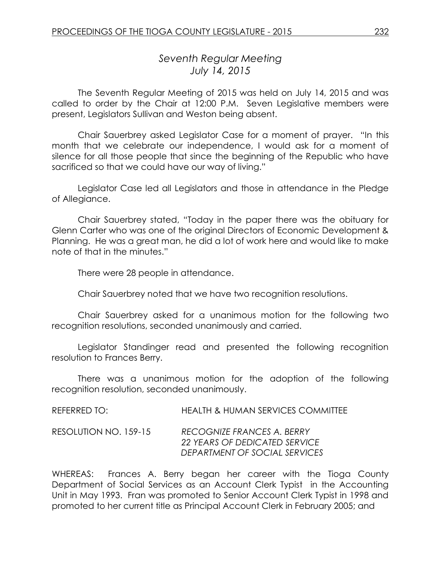# *Seventh Regular Meeting July 14, 2015*

The Seventh Regular Meeting of 2015 was held on July 14, 2015 and was called to order by the Chair at 12:00 P.M. Seven Legislative members were present, Legislators Sullivan and Weston being absent.

Chair Sauerbrey asked Legislator Case for a moment of prayer. "In this month that we celebrate our independence, I would ask for a moment of silence for all those people that since the beginning of the Republic who have sacrificed so that we could have our way of living."

Legislator Case led all Legislators and those in attendance in the Pledge of Allegiance.

Chair Sauerbrey stated, "Today in the paper there was the obituary for Glenn Carter who was one of the original Directors of Economic Development & Planning. He was a great man, he did a lot of work here and would like to make note of that in the minutes."

There were 28 people in attendance.

Chair Sauerbrey noted that we have two recognition resolutions.

Chair Sauerbrey asked for a unanimous motion for the following two recognition resolutions, seconded unanimously and carried.

Legislator Standinger read and presented the following recognition resolution to Frances Berry.

There was a unanimous motion for the adoption of the following recognition resolution, seconded unanimously.

REFERRED TO: HEALTH & HUMAN SERVICES COMMITTEE RESOLUTION NO. 159-15 *RECOGNIZE FRANCES A. BERRY*

*22 YEARS OF DEDICATED SERVICE DEPARTMENT OF SOCIAL SERVICES*

WHEREAS: Frances A. Berry began her career with the Tioga County Department of Social Services as an Account Clerk Typist in the Accounting Unit in May 1993. Fran was promoted to Senior Account Clerk Typist in 1998 and promoted to her current title as Principal Account Clerk in February 2005; and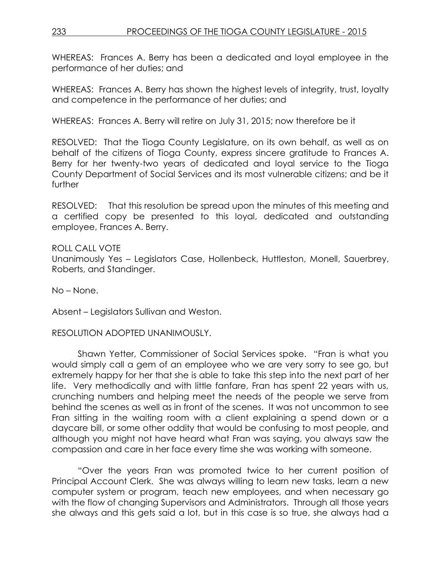WHEREAS: Frances A. Berry has been a dedicated and loyal employee in the performance of her duties; and

WHEREAS: Frances A. Berry has shown the highest levels of integrity, trust, loyalty and competence in the performance of her duties; and

WHEREAS: Frances A. Berry will retire on July 31, 2015; now therefore be it

RESOLVED:That the Tioga County Legislature, on its own behalf, as well as on behalf of the citizens of Tioga County, express sincere gratitude to Frances A. Berry for her twenty-two years of dedicated and loyal service to the Tioga County Department of Social Services and its most vulnerable citizens; and be it further

RESOLVED: That this resolution be spread upon the minutes of this meeting and a certified copy be presented to this loyal, dedicated and outstanding employee, Frances A. Berry.

ROLL CALL VOTE Unanimously Yes – Legislators Case, Hollenbeck, Huttleston, Monell, Sauerbrey, Roberts, and Standinger.

No – None.

Absent – Legislators Sullivan and Weston.

RESOLUTION ADOPTED UNANIMOUSLY.

Shawn Yetter, Commissioner of Social Services spoke. "Fran is what you would simply call a gem of an employee who we are very sorry to see go, but extremely happy for her that she is able to take this step into the next part of her life. Very methodically and with little fanfare, Fran has spent 22 years with us, crunching numbers and helping meet the needs of the people we serve from behind the scenes as well as in front of the scenes. It was not uncommon to see Fran sitting in the waiting room with a client explaining a spend down or a daycare bill, or some other oddity that would be confusing to most people, and although you might not have heard what Fran was saying, you always saw the compassion and care in her face every time she was working with someone.

"Over the years Fran was promoted twice to her current position of Principal Account Clerk. She was always willing to learn new tasks, learn a new computer system or program, teach new employees, and when necessary go with the flow of changing Supervisors and Administrators. Through all those years she always and this gets said a lot, but in this case is so true, she always had a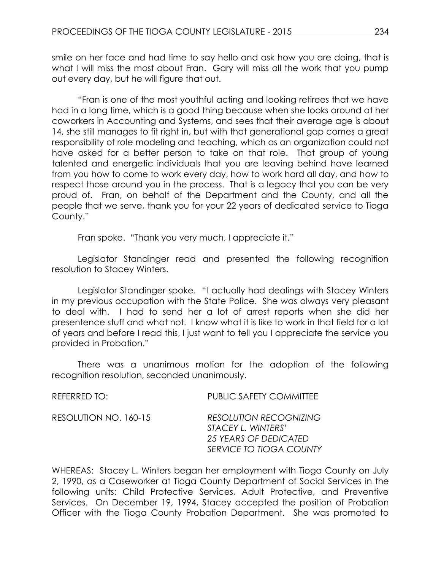smile on her face and had time to say hello and ask how you are doing, that is what I will miss the most about Fran. Gary will miss all the work that you pump out every day, but he will figure that out.

"Fran is one of the most youthful acting and looking retirees that we have had in a long time, which is a good thing because when she looks around at her coworkers in Accounting and Systems, and sees that their average age is about 14, she still manages to fit right in, but with that generational gap comes a great responsibility of role modeling and teaching, which as an organization could not have asked for a better person to take on that role. That group of young talented and energetic individuals that you are leaving behind have learned from you how to come to work every day, how to work hard all day, and how to respect those around you in the process. That is a legacy that you can be very proud of. Fran, on behalf of the Department and the County, and all the people that we serve, thank you for your 22 years of dedicated service to Tioga County."

Fran spoke. "Thank you very much, I appreciate it."

Legislator Standinger read and presented the following recognition resolution to Stacey Winters.

Legislator Standinger spoke. "I actually had dealings with Stacey Winters in my previous occupation with the State Police. She was always very pleasant to deal with. I had to send her a lot of arrest reports when she did her presentence stuff and what not. I know what it is like to work in that field for a lot of years and before I read this, I just want to tell you I appreciate the service you provided in Probation."

There was a unanimous motion for the adoption of the following recognition resolution, seconded unanimously.

| PUBLIC SAFETY COMMITTEE                                                                                 |
|---------------------------------------------------------------------------------------------------------|
| <b>RESOLUTION RECOGNIZING</b><br>STACEY L. WINTERS'<br>25 YEARS OF DEDICATED<br>SERVICE TO TIOGA COUNTY |
|                                                                                                         |

WHEREAS: Stacey L. Winters began her employment with Tioga County on July 2, 1990, as a Caseworker at Tioga County Department of Social Services in the following units: Child Protective Services, Adult Protective, and Preventive Services. On December 19, 1994, Stacey accepted the position of Probation Officer with the Tioga County Probation Department. She was promoted to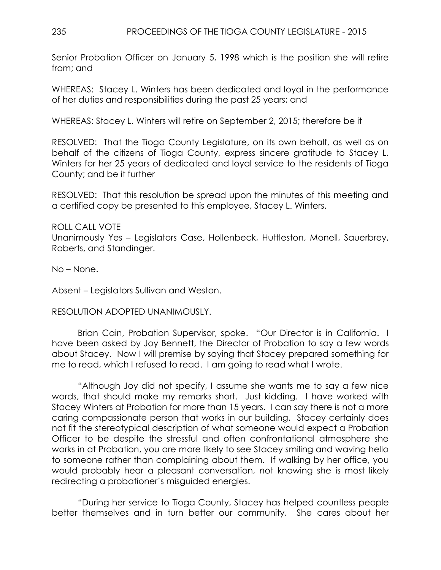Senior Probation Officer on January 5, 1998 which is the position she will retire from; and

WHEREAS: Stacey L. Winters has been dedicated and loyal in the performance of her duties and responsibilities during the past 25 years; and

WHEREAS: Stacey L. Winters will retire on September 2, 2015; therefore be it

RESOLVED: That the Tioga County Legislature, on its own behalf, as well as on behalf of the citizens of Tioga County, express sincere gratitude to Stacey L. Winters for her 25 years of dedicated and loyal service to the residents of Tioga County; and be it further

RESOLVED: That this resolution be spread upon the minutes of this meeting and a certified copy be presented to this employee, Stacey L. Winters.

ROLL CALL VOTE Unanimously Yes – Legislators Case, Hollenbeck, Huttleston, Monell, Sauerbrey, Roberts, and Standinger.

No – None.

Absent – Legislators Sullivan and Weston.

## RESOLUTION ADOPTED UNANIMOUSLY.

Brian Cain, Probation Supervisor, spoke. "Our Director is in California. I have been asked by Joy Bennett, the Director of Probation to say a few words about Stacey. Now I will premise by saying that Stacey prepared something for me to read, which I refused to read. I am going to read what I wrote.

"Although Joy did not specify, I assume she wants me to say a few nice words, that should make my remarks short. Just kidding. I have worked with Stacey Winters at Probation for more than 15 years. I can say there is not a more caring compassionate person that works in our building. Stacey certainly does not fit the stereotypical description of what someone would expect a Probation Officer to be despite the stressful and often confrontational atmosphere she works in at Probation, you are more likely to see Stacey smiling and waving hello to someone rather than complaining about them. If walking by her office, you would probably hear a pleasant conversation, not knowing she is most likely redirecting a probationer's misguided energies.

"During her service to Tioga County, Stacey has helped countless people better themselves and in turn better our community. She cares about her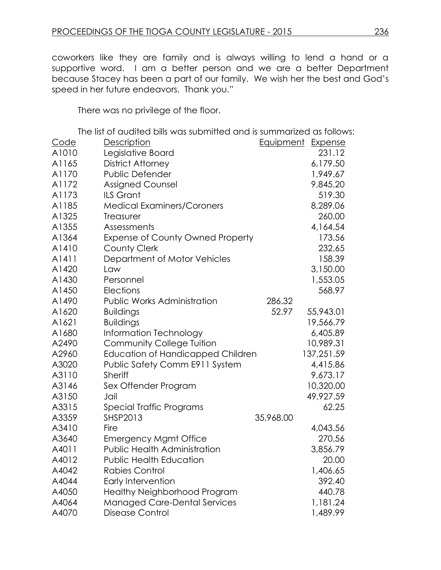coworkers like they are family and is always willing to lend a hand or a supportive word. I am a better person and we are a better Department because Stacey has been a part of our family. We wish her the best and God's speed in her future endeavors. Thank you."

There was no privilege of the floor.

The list of audited bills was submitted and is summarized as follows:

| <u>Code</u> | <b>Description</b>                       | <b>Equipment Expense</b> |            |
|-------------|------------------------------------------|--------------------------|------------|
| A1010       | Legislative Board                        |                          | 231.12     |
| A1165       | <b>District Attorney</b>                 |                          | 6,179.50   |
| A1170       | Public Defender                          |                          | 1,949.67   |
| A1172       | Assigned Counsel                         |                          | 9,845.20   |
| A1173       | <b>ILS Grant</b>                         |                          | 519.30     |
| A1185       | <b>Medical Examiners/Coroners</b>        |                          | 8,289.06   |
| A1325       | Treasurer                                |                          | 260.00     |
| A1355       | Assessments                              |                          | 4,164.54   |
| A1364       | <b>Expense of County Owned Property</b>  |                          | 173.56     |
| A1410       | <b>County Clerk</b>                      |                          | 232.65     |
| A1411       | Department of Motor Vehicles             |                          | 158.39     |
| A1420       | Law                                      |                          | 3,150.00   |
| A1430       | Personnel                                |                          | 1,553.05   |
| A1450       | Elections                                |                          | 568.97     |
| A1490       | <b>Public Works Administration</b>       | 286.32                   |            |
| A1620       | <b>Buildings</b>                         | 52.97                    | 55,943.01  |
| A1621       | <b>Buildings</b>                         |                          | 19,566.79  |
| A1680       | Information Technology                   |                          | 6,405.89   |
| A2490       | <b>Community College Tuition</b>         |                          | 10,989.31  |
| A2960       | <b>Education of Handicapped Children</b> |                          | 137,251.59 |
| A3020       | Public Safety Comm E911 System           |                          | 4,415.86   |
| A3110       | <b>Sheriff</b>                           |                          | 9,673.17   |
| A3146       | Sex Offender Program                     |                          | 10,320.00  |
| A3150       | Jail                                     |                          | 49,927.59  |
| A3315       | Special Traffic Programs                 |                          | 62.25      |
| A3359       | <b>SHSP2013</b>                          | 35,968.00                |            |
| A3410       | Fire                                     |                          | 4,043.56   |
| A3640       | <b>Emergency Mgmt Office</b>             |                          | 270.56     |
| A4011       | <b>Public Health Administration</b>      |                          | 3,856.79   |
| A4012       | <b>Public Health Education</b>           |                          | 20.00      |
| A4042       | <b>Rabies Control</b>                    |                          | 1,406.65   |
| A4044       | <b>Early Intervention</b>                |                          | 392.40     |
| A4050       | <b>Healthy Neighborhood Program</b>      |                          | 440.78     |
| A4064       | <b>Managed Care-Dental Services</b>      |                          | 1,181.24   |
| A4070       | Disease Control                          |                          | 1,489.99   |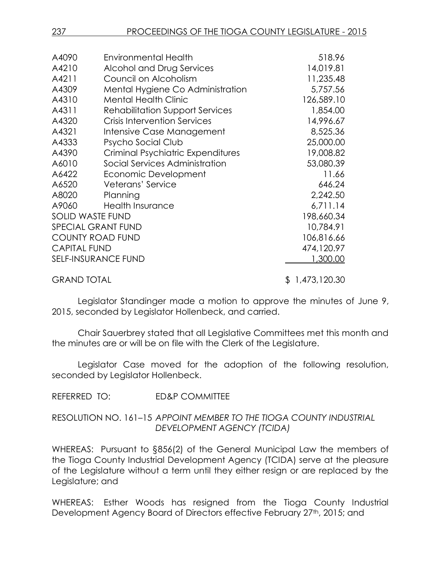| A4090                     | <b>Environmental Health</b>            | 518.96         |
|---------------------------|----------------------------------------|----------------|
| A4210                     | Alcohol and Drug Services              | 14,019.81      |
| A4211                     | Council on Alcoholism                  | 11,235.48      |
| A4309                     | Mental Hygiene Co Administration       | 5,757.56       |
| A4310                     | <b>Mental Health Clinic</b>            | 126,589.10     |
| A4311                     | <b>Rehabilitation Support Services</b> | 1,854.00       |
| A4320                     | <b>Crisis Intervention Services</b>    | 14,996.67      |
| A4321                     | Intensive Case Management              | 8,525.36       |
| A4333                     | Psycho Social Club                     | 25,000.00      |
| A4390                     | Criminal Psychiatric Expenditures      | 19,008.82      |
| A6010                     | Social Services Administration         | 53,080.39      |
| A6422                     | Economic Development                   | 11.66          |
| A6520                     | Veterans' Service                      | 646.24         |
| A8020                     | Planning                               | 2,242.50       |
| A9060                     | <b>Health Insurance</b>                | 6,711.14       |
|                           | <b>SOLID WASTE FUND</b>                | 198,660.34     |
| <b>SPECIAL GRANT FUND</b> |                                        | 10,784.91      |
| <b>COUNTY ROAD FUND</b>   |                                        | 106,816.66     |
| <b>CAPITAL FUND</b>       |                                        | 474,120.97     |
|                           | <b>SELF-INSURANCE FUND</b>             | 1,300.00       |
| <b>GRAND TOTAL</b>        |                                        | \$1,473,120.30 |

Legislator Standinger made a motion to approve the minutes of June 9, 2015, seconded by Legislator Hollenbeck, and carried.

Chair Sauerbrey stated that all Legislative Committees met this month and the minutes are or will be on file with the Clerk of the Legislature.

Legislator Case moved for the adoption of the following resolution, seconded by Legislator Hollenbeck.

REFERRED TO: ED&P COMMITTEE

## RESOLUTION NO. 161–15 *APPOINT MEMBER TO THE TIOGA COUNTY INDUSTRIAL DEVELOPMENT AGENCY (TCIDA)*

WHEREAS: Pursuant to §856(2) of the General Municipal Law the members of the Tioga County Industrial Development Agency (TCIDA) serve at the pleasure of the Legislature without a term until they either resign or are replaced by the Legislature; and

WHEREAS: Esther Woods has resigned from the Tioga County Industrial Development Agency Board of Directors effective February 27<sup>th</sup>, 2015; and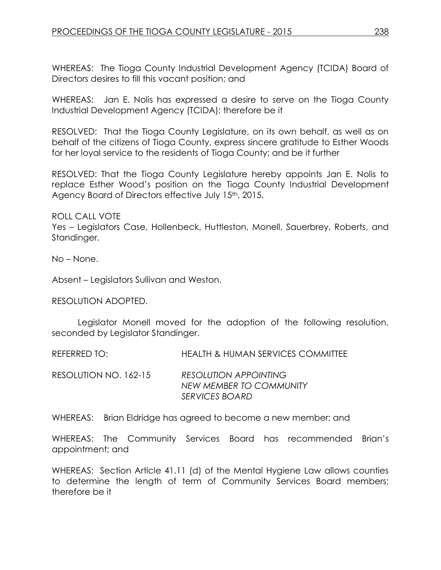WHEREAS: The Tioga County Industrial Development Agency (TCIDA) Board of Directors desires to fill this vacant position; and

WHEREAS: Jan E. Nolis has expressed a desire to serve on the Tioga County Industrial Development Agency (TCIDA); therefore be it

RESOLVED: That the Tioga County Legislature, on its own behalf, as well as on behalf of the citizens of Tioga County, express sincere gratitude to Esther Woods for her loyal service to the residents of Tioga County; and be it further

RESOLVED: That the Tioga County Legislature hereby appoints Jan E. Nolis to replace Esther Wood's position on the Tioga County Industrial Development Agency Board of Directors effective July 15<sup>th</sup>, 2015.

ROLL CALL VOTE Yes – Legislators Case, Hollenbeck, Huttleston, Monell, Sauerbrey, Roberts, and Standinger.

No – None.

Absent – Legislators Sullivan and Weston.

RESOLUTION ADOPTED.

Legislator Monell moved for the adoption of the following resolution, seconded by Legislator Standinger.

REFERRED TO: HEALTH & HUMAN SERVICES COMMITTEE

RESOLUTION NO. 162-15 *RESOLUTION APPOINTING NEW MEMBER TO COMMUNITY SERVICES BOARD*

WHEREAS: Brian Eldridge has agreed to become a new member; and

WHEREAS: The Community Services Board has recommended Brian's appointment; and

WHEREAS: Section Article 41.11 (d) of the Mental Hygiene Law allows counties to determine the length of term of Community Services Board members; therefore be it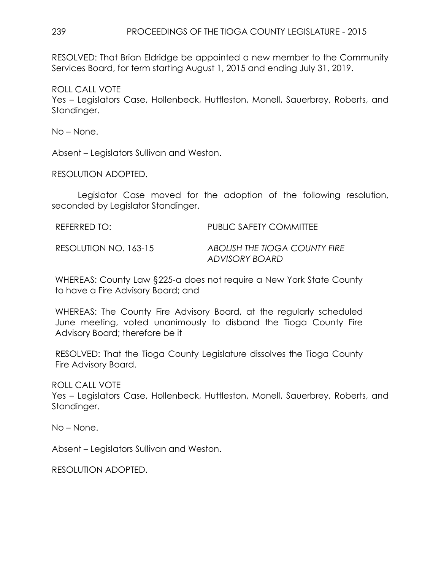RESOLVED: That Brian Eldridge be appointed a new member to the Community Services Board, for term starting August 1, 2015 and ending July 31, 2019.

ROLL CALL VOTE Yes – Legislators Case, Hollenbeck, Huttleston, Monell, Sauerbrey, Roberts, and Standinger.

No – None.

Absent – Legislators Sullivan and Weston.

RESOLUTION ADOPTED.

Legislator Case moved for the adoption of the following resolution, seconded by Legislator Standinger.

| REFERRED TO:          | <b>PUBLIC SAFETY COMMITTEE</b>                  |
|-----------------------|-------------------------------------------------|
| RESOLUTION NO. 163-15 | ABOLISH THE TIOGA COUNTY FIRE<br>ADVISORY BOARD |

WHEREAS: County Law §225-a does not require a New York State County to have a Fire Advisory Board; and

WHEREAS: The County Fire Advisory Board, at the regularly scheduled June meeting, voted unanimously to disband the Tioga County Fire Advisory Board; therefore be it

RESOLVED: That the Tioga County Legislature dissolves the Tioga County Fire Advisory Board.

ROLL CALL VOTE

Yes – Legislators Case, Hollenbeck, Huttleston, Monell, Sauerbrey, Roberts, and Standinger.

No – None.

Absent – Legislators Sullivan and Weston.

RESOLUTION ADOPTED.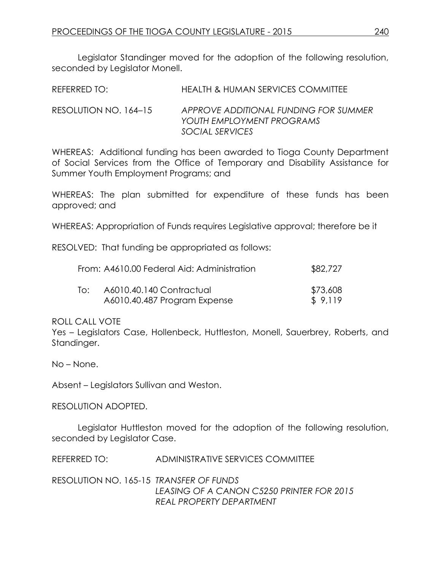Legislator Standinger moved for the adoption of the following resolution, seconded by Legislator Monell.

REFERRED TO: HEALTH & HUMAN SERVICES COMMITTEE

RESOLUTION NO. 164–15 *APPROVE ADDITIONAL FUNDING FOR SUMMER YOUTH EMPLOYMENT PROGRAMS SOCIAL SERVICES*

WHEREAS: Additional funding has been awarded to Tioga County Department of Social Services from the Office of Temporary and Disability Assistance for Summer Youth Employment Programs; and

WHEREAS: The plan submitted for expenditure of these funds has been approved; and

WHEREAS: Appropriation of Funds requires Legislative approval; therefore be it

RESOLVED: That funding be appropriated as follows:

|     | From: A4610.00 Federal Aid: Administration | \$82,727 |
|-----|--------------------------------------------|----------|
| T∩: | A6010.40.140 Contractual                   | \$73,608 |
|     | A6010.40.487 Program Expense               | \$9.119  |

ROLL CALL VOTE

Yes – Legislators Case, Hollenbeck, Huttleston, Monell, Sauerbrey, Roberts, and Standinger.

No – None.

Absent – Legislators Sullivan and Weston.

RESOLUTION ADOPTED.

Legislator Huttleston moved for the adoption of the following resolution, seconded by Legislator Case.

REFERRED TO: ADMINISTRATIVE SERVICES COMMITTEE

RESOLUTION NO. 165-15 *TRANSFER OF FUNDS LEASING OF A CANON C5250 PRINTER FOR 2015 REAL PROPERTY DEPARTMENT*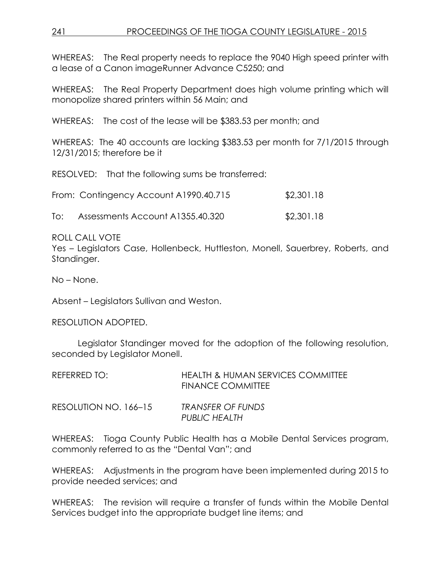WHEREAS: The Real property needs to replace the 9040 High speed printer with a lease of a Canon imageRunner Advance C5250; and

WHEREAS: The Real Property Department does high volume printing which will monopolize shared printers within 56 Main; and

WHEREAS: The cost of the lease will be \$383.53 per month; and

WHEREAS: The 40 accounts are lacking \$383.53 per month for 7/1/2015 through 12/31/2015; therefore be it

RESOLVED: That the following sums be transferred:

| From: Contingency Account A1990.40.715 | \$2,301.18 |
|----------------------------------------|------------|
|                                        |            |

To: Assessments Account A1355.40.320 \$2,301.18

ROLL CALL VOTE

Yes – Legislators Case, Hollenbeck, Huttleston, Monell, Sauerbrey, Roberts, and Standinger.

No – None.

Absent – Legislators Sullivan and Weston.

RESOLUTION ADOPTED.

Legislator Standinger moved for the adoption of the following resolution, seconded by Legislator Monell.

| REFERRED TO:          | HEALTH & HUMAN SERVICES COMMITTEE<br>FINANCE COMMITTEE |
|-----------------------|--------------------------------------------------------|
| RESOLUTION NO. 166-15 | TRANSFER OF FUNDS<br><b>PUBLIC HEALTH</b>              |

WHEREAS: Tioga County Public Health has a Mobile Dental Services program, commonly referred to as the "Dental Van"; and

WHEREAS: Adjustments in the program have been implemented during 2015 to provide needed services; and

WHEREAS: The revision will require a transfer of funds within the Mobile Dental Services budget into the appropriate budget line items; and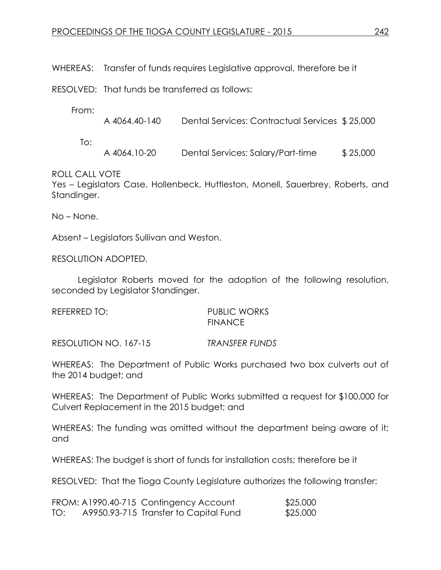WHEREAS: Transfer of funds requires Legislative approval, therefore be it

RESOLVED: That funds be transferred as follows:

From:

| A 4064.40-140 | Dental Services: Contractual Services \$25,000 |  |
|---------------|------------------------------------------------|--|
|               |                                                |  |

To:

A 4064.10-20 Dental Services: Salary/Part-time \$ 25,000

ROLL CALL VOTE

Yes – Legislators Case, Hollenbeck, Huttleston, Monell, Sauerbrey, Roberts, and Standinger.

No – None.

Absent – Legislators Sullivan and Weston.

RESOLUTION ADOPTED.

Legislator Roberts moved for the adoption of the following resolution, seconded by Legislator Standinger.

| REFERRED TO: | <b>PUBLIC WORKS</b> |
|--------------|---------------------|
|              | <b>FINANCE</b>      |

RESOLUTION NO. 167-15 *TRANSFER FUNDS*

WHEREAS: The Department of Public Works purchased two box culverts out of the 2014 budget; and

WHEREAS: The Department of Public Works submitted a request for \$100,000 for Culvert Replacement in the 2015 budget; and

WHEREAS: The funding was omitted without the department being aware of it; and

WHEREAS: The budget is short of funds for installation costs; therefore be it

RESOLVED: That the Tioga County Legislature authorizes the following transfer:

|     | FROM: A1990.40-715 Contingency Account | \$25,000 |
|-----|----------------------------------------|----------|
| TO: | A9950.93-715 Transfer to Capital Fund  | \$25,000 |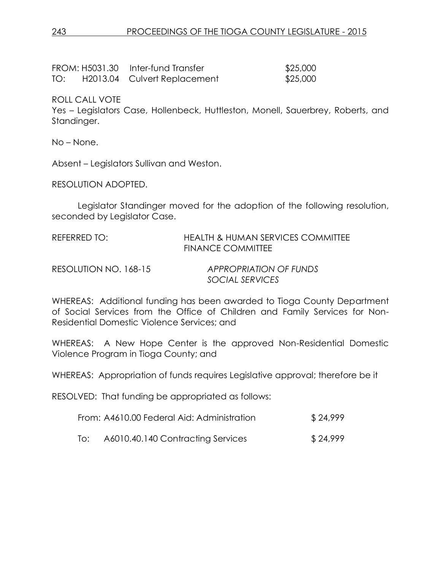|     | FROM: H5031.30 Inter-fund Transfer | \$25,000 |
|-----|------------------------------------|----------|
| TO: | H2013.04 Culvert Replacement       | \$25,000 |

ROLL CALL VOTE

Yes – Legislators Case, Hollenbeck, Huttleston, Monell, Sauerbrey, Roberts, and Standinger.

No – None.

Absent – Legislators Sullivan and Weston.

RESOLUTION ADOPTED.

Legislator Standinger moved for the adoption of the following resolution, seconded by Legislator Case.

| REFERRED TO: | <b>HEALTH &amp; HUMAN SERVICES COMMITTEE</b> |
|--------------|----------------------------------------------|
|              | <b>FINANCE COMMITTEE</b>                     |
|              |                                              |

RESOLUTION NO. 168-15 *APPROPRIATION OF FUNDS SOCIAL SERVICES*

WHEREAS: Additional funding has been awarded to Tioga County Department of Social Services from the Office of Children and Family Services for Non-Residential Domestic Violence Services; and

WHEREAS: A New Hope Center is the approved Non-Residential Domestic Violence Program in Tioga County; and

WHEREAS: Appropriation of funds requires Legislative approval; therefore be it

RESOLVED: That funding be appropriated as follows:

| From: A4610.00 Federal Aid: Administration | \$24,999 |
|--------------------------------------------|----------|
|--------------------------------------------|----------|

To: A6010.40.140 Contracting Services \$24,999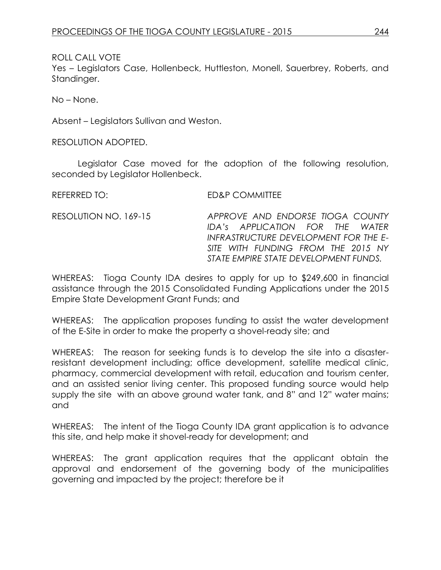ROLL CALL VOTE

Yes – Legislators Case, Hollenbeck, Huttleston, Monell, Sauerbrey, Roberts, and Standinger.

No – None.

Absent – Legislators Sullivan and Weston.

RESOLUTION ADOPTED.

Legislator Case moved for the adoption of the following resolution, seconded by Legislator Hollenbeck.

| REFERRED TO:          | ED&P COMMITTEE                   |
|-----------------------|----------------------------------|
| RESOLUTION NO. 169-15 | APPROVE AND ENDORSE TIOGA COUNTY |
|                       | IDA's APPLICATION FOR THE WATER  |

WHEREAS: Tioga County IDA desires to apply for up to \$249,600 in financial assistance through the 2015 Consolidated Funding Applications under the 2015 Empire State Development Grant Funds; and

*INFRASTRUCTURE DEVELOPMENT FOR THE E-SITE WITH FUNDING FROM THE 2015 NY STATE EMPIRE STATE DEVELOPMENT FUNDS.*

WHEREAS: The application proposes funding to assist the water development of the E-Site in order to make the property a shovel-ready site; and

WHEREAS: The reason for seeking funds is to develop the site into a disasterresistant development including; office development, satellite medical clinic, pharmacy, commercial development with retail, education and tourism center, and an assisted senior living center. This proposed funding source would help supply the site with an above ground water tank, and 8" and 12" water mains; and

WHEREAS: The intent of the Tioga County IDA grant application is to advance this site, and help make it shovel-ready for development; and

WHEREAS: The grant application requires that the applicant obtain the approval and endorsement of the governing body of the municipalities governing and impacted by the project; therefore be it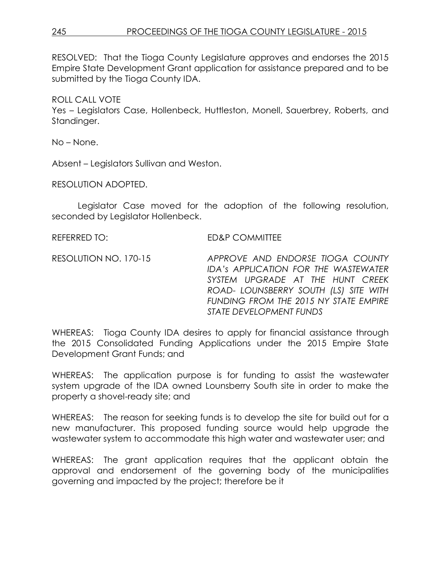## 245 PROCEEDINGS OF THE TIOGA COUNTY LEGISLATURE - 2015

RESOLVED: That the Tioga County Legislature approves and endorses the 2015 Empire State Development Grant application for assistance prepared and to be submitted by the Tioga County IDA.

### ROLL CALL VOTE

Yes – Legislators Case, Hollenbeck, Huttleston, Monell, Sauerbrey, Roberts, and Standinger.

No – None.

Absent – Legislators Sullivan and Weston.

RESOLUTION ADOPTED.

Legislator Case moved for the adoption of the following resolution, seconded by Legislator Hollenbeck.

REFERRED TO: ED&P COMMITTEE

RESOLUTION NO. 170-15 *APPROVE AND ENDORSE TIOGA COUNTY IDA's APPLICATION FOR THE WASTEWATER SYSTEM UPGRADE AT THE HUNT CREEK ROAD- LOUNSBERRY SOUTH (LS) SITE WITH FUNDING FROM THE 2015 NY STATE EMPIRE STATE DEVELOPMENT FUNDS*

WHEREAS: Tioga County IDA desires to apply for financial assistance through the 2015 Consolidated Funding Applications under the 2015 Empire State Development Grant Funds; and

WHEREAS: The application purpose is for funding to assist the wastewater system upgrade of the IDA owned Lounsberry South site in order to make the property a shovel-ready site; and

WHEREAS: The reason for seeking funds is to develop the site for build out for a new manufacturer. This proposed funding source would help upgrade the wastewater system to accommodate this high water and wastewater user; and

WHEREAS: The grant application requires that the applicant obtain the approval and endorsement of the governing body of the municipalities governing and impacted by the project; therefore be it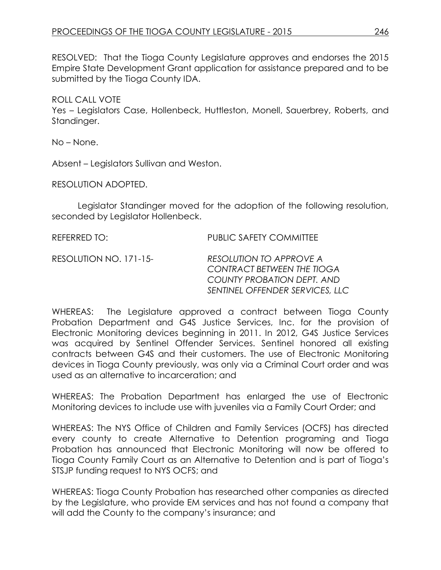RESOLVED: That the Tioga County Legislature approves and endorses the 2015 Empire State Development Grant application for assistance prepared and to be submitted by the Tioga County IDA.

### ROLL CALL VOTE

Yes – Legislators Case, Hollenbeck, Huttleston, Monell, Sauerbrey, Roberts, and Standinger.

No – None.

Absent – Legislators Sullivan and Weston.

RESOLUTION ADOPTED.

Legislator Standinger moved for the adoption of the following resolution, seconded by Legislator Hollenbeck.

REFERRED TO: PUBLIC SAFETY COMMITTEE

RESOLUTION NO. 171-15- *RESOLUTION TO APPROVE A CONTRACT BETWEEN THE TIOGA COUNTY PROBATION DEPT. AND SENTINEL OFFENDER SERVICES, LLC*

WHEREAS: The Legislature approved a contract between Tioga County Probation Department and G4S Justice Services, Inc. for the provision of Electronic Monitoring devices beginning in 2011. In 2012, G4S Justice Services was acquired by Sentinel Offender Services. Sentinel honored all existing contracts between G4S and their customers. The use of Electronic Monitoring devices in Tioga County previously, was only via a Criminal Court order and was used as an alternative to incarceration; and

WHEREAS: The Probation Department has enlarged the use of Electronic Monitoring devices to include use with juveniles via a Family Court Order; and

WHEREAS: The NYS Office of Children and Family Services (OCFS) has directed every county to create Alternative to Detention programing and Tioga Probation has announced that Electronic Monitoring will now be offered to Tioga County Family Court as an Alternative to Detention and is part of Tioga's STSJP funding request to NYS OCFS; and

WHEREAS: Tioga County Probation has researched other companies as directed by the Legislature, who provide EM services and has not found a company that will add the County to the company's insurance; and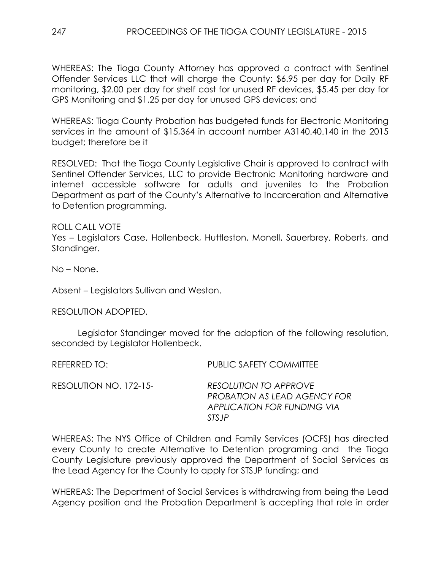WHEREAS: The Tioga County Attorney has approved a contract with Sentinel Offender Services LLC that will charge the County: \$6.95 per day for Daily RF monitoring, \$2.00 per day for shelf cost for unused RF devices, \$5.45 per day for GPS Monitoring and \$1.25 per day for unused GPS devices; and

WHEREAS: Tioga County Probation has budgeted funds for Electronic Monitoring services in the amount of \$15,364 in account number A3140.40.140 in the 2015 budget; therefore be it

RESOLVED: That the Tioga County Legislative Chair is approved to contract with Sentinel Offender Services, LLC to provide Electronic Monitoring hardware and internet accessible software for adults and juveniles to the Probation Department as part of the County's Alternative to Incarceration and Alternative to Detention programming.

ROLL CALL VOTE

Yes – Legislators Case, Hollenbeck, Huttleston, Monell, Sauerbrey, Roberts, and Standinger.

No – None.

Absent – Legislators Sullivan and Weston.

RESOLUTION ADOPTED.

Legislator Standinger moved for the adoption of the following resolution, seconded by Legislator Hollenbeck.

| REFERRED TO:           | <b>PUBLIC SAFETY COMMITTEE</b>                                                                        |
|------------------------|-------------------------------------------------------------------------------------------------------|
| RESOLUTION NO. 172-15- | <b>RESOLUTION TO APPROVE</b><br>PROBATION AS LEAD AGENCY FOR<br>APPLICATION FOR FUNDING VIA<br>STS IP |

WHEREAS: The NYS Office of Children and Family Services (OCFS) has directed every County to create Alternative to Detention programing and the Tioga County Legislature previously approved the Department of Social Services as the Lead Agency for the County to apply for STSJP funding; and

WHEREAS: The Department of Social Services is withdrawing from being the Lead Agency position and the Probation Department is accepting that role in order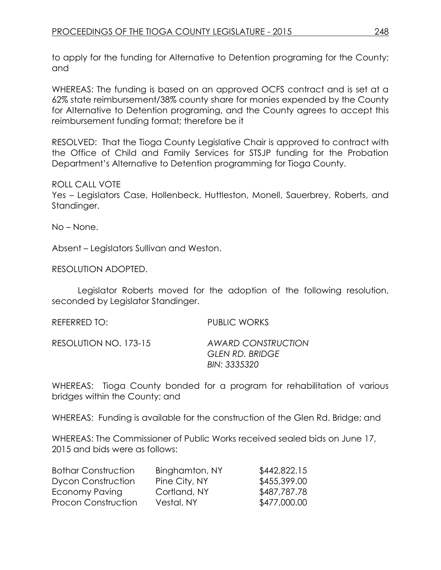to apply for the funding for Alternative to Detention programing for the County; and

WHEREAS: The funding is based on an approved OCFS contract and is set at a 62% state reimbursement/38% county share for monies expended by the County for Alternative to Detention programing, and the County agrees to accept this reimbursement funding format; therefore be it

RESOLVED: That the Tioga County Legislative Chair is approved to contract with the Office of Child and Family Services for STSJP funding for the Probation Department's Alternative to Detention programming for Tioga County.

## ROLL CALL VOTE

Yes – Legislators Case, Hollenbeck, Huttleston, Monell, Sauerbrey, Roberts, and Standinger.

No – None.

Absent – Legislators Sullivan and Weston.

RESOLUTION ADOPTED.

Legislator Roberts moved for the adoption of the following resolution, seconded by Legislator Standinger.

| REFERRED TO:          | PUBLIC WORKS                                          |
|-----------------------|-------------------------------------------------------|
| RESOLUTION NO. 173-15 | AWARD CONSTRUCTION<br>GLEN RD. BRIDGE<br>BIN: 3335320 |

WHEREAS: Tioga County bonded for a program for rehabilitation of various bridges within the County; and

WHEREAS: Funding is available for the construction of the Glen Rd. Bridge; and

WHEREAS: The Commissioner of Public Works received sealed bids on June 17, 2015 and bids were as follows:

| <b>Bothar Construction</b> | Binghamton, NY | \$442,822.15 |
|----------------------------|----------------|--------------|
| <b>Dycon Construction</b>  | Pine City, NY  | \$455,399.00 |
| Economy Paving             | Cortland, NY   | \$487,787.78 |
| <b>Procon Construction</b> | Vestal, NY     | \$477,000.00 |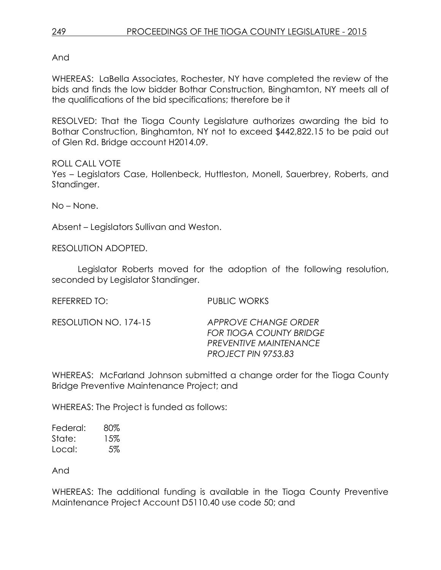And

WHEREAS: LaBella Associates, Rochester, NY have completed the review of the bids and finds the low bidder Bothar Construction, Binghamton, NY meets all of the qualifications of the bid specifications; therefore be it

RESOLVED: That the Tioga County Legislature authorizes awarding the bid to Bothar Construction, Binghamton, NY not to exceed \$442,822.15 to be paid out of Glen Rd. Bridge account H2014.09.

ROLL CALL VOTE Yes – Legislators Case, Hollenbeck, Huttleston, Monell, Sauerbrey, Roberts, and Standinger.

No – None.

Absent – Legislators Sullivan and Weston.

RESOLUTION ADOPTED.

Legislator Roberts moved for the adoption of the following resolution, seconded by Legislator Standinger.

REFERRED TO: PUBLIC WORKS

RESOLUTION NO. 174-15 *APPROVE CHANGE ORDER FOR TIOGA COUNTY BRIDGE PREVENTIVE MAINTENANCE PROJECT PIN 9753.83*

WHEREAS: McFarland Johnson submitted a change order for the Tioga County Bridge Preventive Maintenance Project; and

WHEREAS: The Project is funded as follows:

Federal: 80% State: 15% Local: 5%

And

WHEREAS: The additional funding is available in the Tioga County Preventive Maintenance Project Account D5110.40 use code 50; and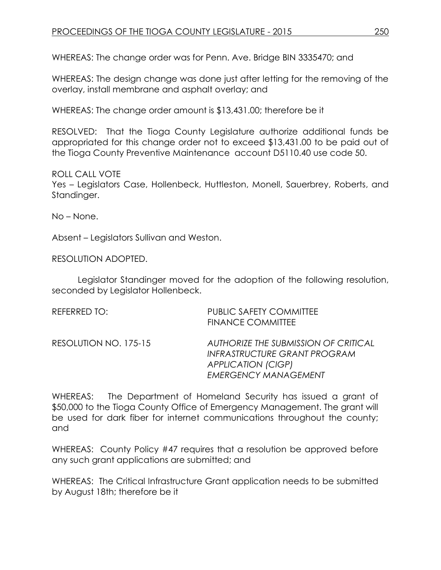WHEREAS: The change order was for Penn. Ave. Bridge BIN 3335470; and

WHEREAS: The design change was done just after letting for the removing of the overlay, install membrane and asphalt overlay; and

WHEREAS: The change order amount is \$13,431.00; therefore be it

RESOLVED: That the Tioga County Legislature authorize additional funds be appropriated for this change order not to exceed \$13,431.00 to be paid out of the Tioga County Preventive Maintenance account D5110.40 use code 50.

ROLL CALL VOTE Yes – Legislators Case, Hollenbeck, Huttleston, Monell, Sauerbrey, Roberts, and Standinger.

No – None.

Absent – Legislators Sullivan and Weston.

RESOLUTION ADOPTED.

Legislator Standinger moved for the adoption of the following resolution, seconded by Legislator Hollenbeck.

| REFERRED TO:          | <b>PUBLIC SAFETY COMMITTEE</b><br><b>FINANCE COMMITTEE</b>                                                                       |
|-----------------------|----------------------------------------------------------------------------------------------------------------------------------|
| RESOLUTION NO. 175-15 | AUTHORIZE THE SUBMISSION OF CRITICAL<br>INFRASTRUCTURE GRANT PROGRAM<br><b>APPLICATION (CIGP)</b><br><b>EMERGENCY MANAGEMENT</b> |

WHEREAS: The Department of Homeland Security has issued a grant of \$50,000 to the Tioga County Office of Emergency Management. The grant will be used for dark fiber for internet communications throughout the county; and

WHEREAS: County Policy #47 requires that a resolution be approved before any such grant applications are submitted; and

WHEREAS: The Critical Infrastructure Grant application needs to be submitted by August 18th; therefore be it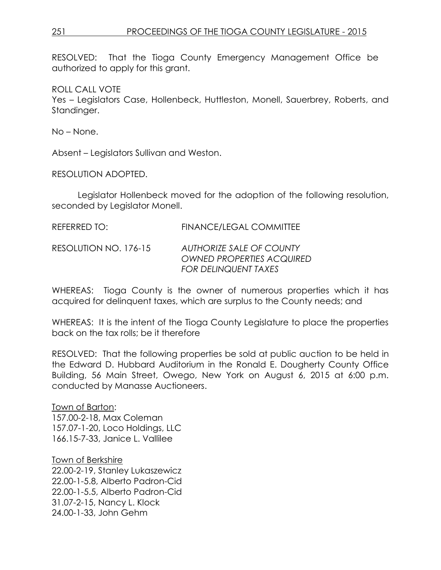RESOLVED: That the Tioga County Emergency Management Office be authorized to apply for this grant.

ROLL CALL VOTE Yes – Legislators Case, Hollenbeck, Huttleston, Monell, Sauerbrey, Roberts, and Standinger.

No – None.

Absent – Legislators Sullivan and Weston.

RESOLUTION ADOPTED.

Legislator Hollenbeck moved for the adoption of the following resolution, seconded by Legislator Monell.

| REFERRED TO: | <b>FINANCE/LEGAL COMMITTEE</b> |  |  |
|--------------|--------------------------------|--|--|
|              |                                |  |  |

RESOLUTION NO. 176-15 *AUTHORIZE SALE OF COUNTY OWNED PROPERTIES ACQUIRED FOR DELINQUENT TAXES*

WHEREAS: Tioga County is the owner of numerous properties which it has acquired for delinquent taxes, which are surplus to the County needs; and

WHEREAS: It is the intent of the Tioga County Legislature to place the properties back on the tax rolls; be it therefore

RESOLVED: That the following properties be sold at public auction to be held in the Edward D. Hubbard Auditorium in the Ronald E. Dougherty County Office Building, 56 Main Street, Owego, New York on August 6, 2015 at 6:00 p.m. conducted by Manasse Auctioneers.

Town of Barton: 157.00-2-18, Max Coleman 157.07-1-20, Loco Holdings, LLC 166.15-7-33, Janice L. Vallilee

Town of Berkshire 22.00-2-19, Stanley Lukaszewicz 22.00-1-5.8, Alberto Padron-Cid 22.00-1-5.5, Alberto Padron-Cid 31.07-2-15, Nancy L. Klock 24.00-1-33, John Gehm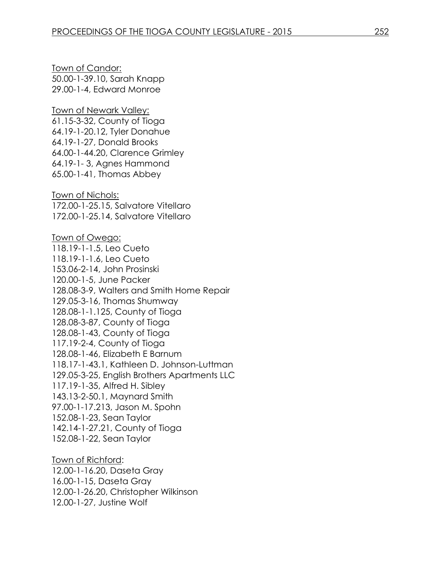Town of Candor: 50.00-1-39.10, Sarah Knapp 29.00-1-4, Edward Monroe

Town of Newark Valley: 61.15-3-32, County of Tioga 64.19-1-20.12, Tyler Donahue 64.19-1-27, Donald Brooks 64.00-1-44.20, Clarence Grimley 64.19-1- 3, Agnes Hammond 65.00-1-41, Thomas Abbey

Town of Nichols: 172.00-1-25.15, Salvatore Vitellaro 172.00-1-25.14, Salvatore Vitellaro

Town of Owego: 118.19-1-1.5, Leo Cueto 118.19-1-1.6, Leo Cueto 153.06-2-14, John Prosinski 120.00-1-5, June Packer 128.08-3-9, Walters and Smith Home Repair 129.05-3-16, Thomas Shumway 128.08-1-1.125, County of Tioga 128.08-3-87, County of Tioga 128.08-1-43, County of Tioga 117.19-2-4, County of Tioga 128.08-1-46, Elizabeth E Barnum 118.17-1-43.1, Kathleen D. Johnson-Luttman 129.05-3-25, English Brothers Apartments LLC 117.19-1-35, Alfred H. Sibley 143.13-2-50.1, Maynard Smith 97.00-1-17.213, Jason M. Spohn 152.08-1-23, Sean Taylor 142.14-1-27.21, County of Tioga 152.08-1-22, Sean Taylor

Town of Richford: 12.00-1-16.20, Daseta Gray 16.00-1-15, Daseta Gray 12.00-1-26.20, Christopher Wilkinson 12.00-1-27, Justine Wolf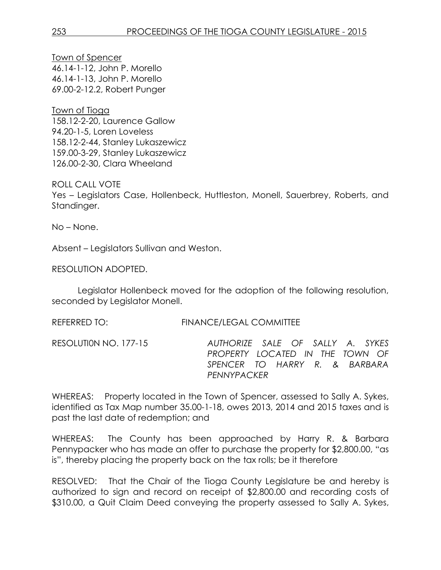Town of Spencer 46.14-1-12, John P. Morello 46.14-1-13, John P. Morello 69.00-2-12.2, Robert Punger

Town of Tioga 158.12-2-20, Laurence Gallow 94.20-1-5, Loren Loveless 158.12-2-44, Stanley Lukaszewicz 159.00-3-29, Stanley Lukaszewicz 126.00-2-30, Clara Wheeland

ROLL CALL VOTE Yes – Legislators Case, Hollenbeck, Huttleston, Monell, Sauerbrey, Roberts, and Standinger.

No – None.

Absent – Legislators Sullivan and Weston.

RESOLUTION ADOPTED.

Legislator Hollenbeck moved for the adoption of the following resolution, seconded by Legislator Monell.

REFERRED TO: FINANCE/LEGAL COMMITTEE

RESOLUTI0N NO. 177-15 *AUTHORIZE SALE OF SALLY A. SYKES PROPERTY LOCATED IN THE TOWN OF SPENCER TO HARRY R. & BARBARA PENNYPACKER* 

WHEREAS: Property located in the Town of Spencer, assessed to Sally A. Sykes, identified as Tax Map number 35.00-1-18, owes 2013, 2014 and 2015 taxes and is past the last date of redemption; and

WHEREAS: The County has been approached by Harry R. & Barbara Pennypacker who has made an offer to purchase the property for \$2,800.00, "as is", thereby placing the property back on the tax rolls; be it therefore

RESOLVED: That the Chair of the Tioga County Legislature be and hereby is authorized to sign and record on receipt of \$2,800.00 and recording costs of \$310.00, a Quit Claim Deed conveying the property assessed to Sally A. Sykes,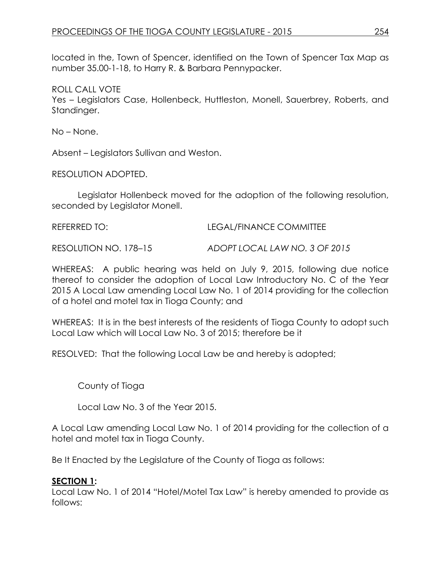located in the, Town of Spencer, identified on the Town of Spencer Tax Map as number 35.00-1-18, to Harry R. & Barbara Pennypacker.

ROLL CALL VOTE Yes – Legislators Case, Hollenbeck, Huttleston, Monell, Sauerbrey, Roberts, and Standinger.

No – None.

Absent – Legislators Sullivan and Weston.

RESOLUTION ADOPTED.

Legislator Hollenbeck moved for the adoption of the following resolution, seconded by Legislator Monell.

REFERRED TO: LEGAL/FINANCE COMMITTEE

RESOLUTION NO. 178–15 *ADOPT LOCAL LAW NO. 3 OF 2015*

WHEREAS: A public hearing was held on July 9, 2015, following due notice thereof to consider the adoption of Local Law Introductory No. C of the Year 2015 A Local Law amending Local Law No. 1 of 2014 providing for the collection of a hotel and motel tax in Tioga County; and

WHEREAS: It is in the best interests of the residents of Tioga County to adopt such Local Law which will Local Law No. 3 of 2015; therefore be it

RESOLVED: That the following Local Law be and hereby is adopted;

County of Tioga

Local Law No. 3 of the Year 2015.

A Local Law amending Local Law No. 1 of 2014 providing for the collection of a hotel and motel tax in Tioga County.

Be It Enacted by the Legislature of the County of Tioga as follows:

#### **SECTION 1:**

Local Law No. 1 of 2014 "Hotel/Motel Tax Law" is hereby amended to provide as follows: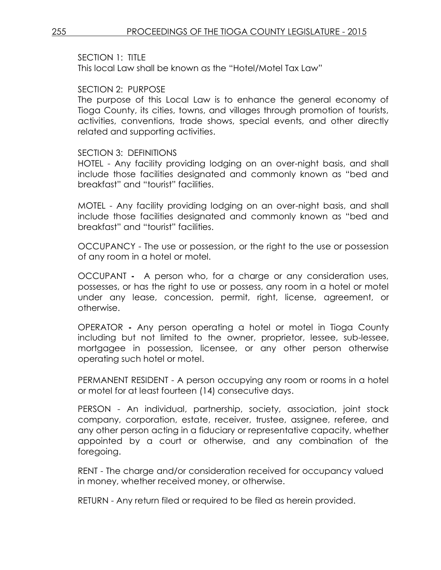#### SECTION 1: TITLE

This local Law shall be known as the "Hotel/Motel Tax Law"

#### SECTION 2: PURPOSE

The purpose of this Local Law is to enhance the general economy of Tioga County, its cities, towns, and villages through promotion of tourists, activities, conventions, trade shows, special events, and other directly related and supporting activities.

#### SECTION 3: DEFINITIONS

HOTEL - Any facility providing lodging on an over-night basis, and shall include those facilities designated and commonly known as "bed and breakfast" and "tourist" facilities.

MOTEL - Any facility providing lodging on an over-night basis, and shall include those facilities designated and commonly known as "bed and breakfast" and "tourist" facilities.

OCCUPANCY - The use or possession, or the right to the use or possession of any room in a hotel or motel.

OCCUPANT **-** A person who, for a charge or any consideration uses, possesses, or has the right to use or possess, any room in a hotel or motel under any lease, concession, permit, right, license, agreement, or otherwise.

OPERATOR **-** Any person operating a hotel or motel in Tioga County including but not limited to the owner, proprietor, lessee, sub-lessee, mortgagee in possession, licensee, or any other person otherwise operating such hotel or motel.

PERMANENT RESIDENT - A person occupying any room or rooms in a hotel or motel for at least fourteen (14) consecutive days.

PERSON - An individual, partnership, society, association, joint stock company, corporation, estate, receiver, trustee, assignee, referee, and any other person acting in a fiduciary or representative capacity, whether appointed by a court or otherwise, and any combination of the foregoing.

RENT - The charge and/or consideration received for occupancy valued in money, whether received money, or otherwise.

RETURN - Any return filed or required to be filed as herein provided.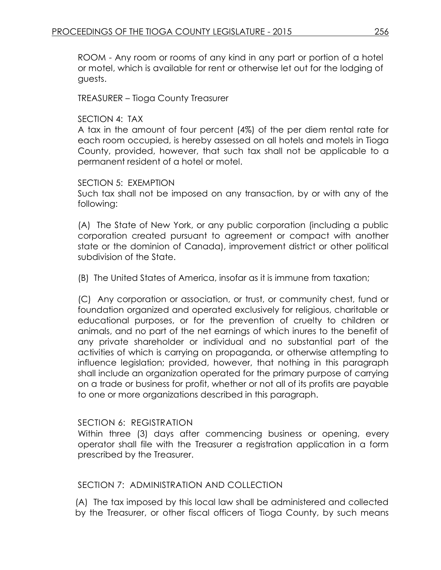ROOM - Any room or rooms of any kind in any part or portion of a hotel or motel, which is available for rent or otherwise let out for the lodging of guests.

TREASURER – Tioga County Treasurer

### SECTION 4: TAX

A tax in the amount of four percent (4%) of the per diem rental rate for each room occupied, is hereby assessed on all hotels and motels in Tioga County, provided, however, that such tax shall not be applicable to a permanent resident of a hotel or motel.

#### SECTION 5: EXEMPTION

Such tax shall not be imposed on any transaction, by or with any of the following:

(A) The State of New York, or any public corporation (including a public corporation created pursuant to agreement or compact with another state or the dominion of Canada), improvement district or other political subdivision of the State.

(B) The United States of America, insofar as it is immune from taxation;

(C) Any corporation or association, or trust, or community chest, fund or foundation organized and operated exclusively for religious, charitable or educational purposes, or for the prevention of cruelty to children or animals, and no part of the net earnings of which inures to the benefit of any private shareholder or individual and no substantial part of the activities of which is carrying on propaganda, or otherwise attempting to influence legislation; provided, however, that nothing in this paragraph shall include an organization operated for the primary purpose of carrying on a trade or business for profit, whether or not all of its profits are payable to one or more organizations described in this paragraph.

## SECTION 6: REGISTRATION

Within three (3) days after commencing business or opening, every operator shall file with the Treasurer a registration application in a form prescribed by the Treasurer.

## SECTION 7: ADMINISTRATION AND COLLECTION

(A) The tax imposed by this local law shall be administered and collected by the Treasurer, or other fiscal officers of Tioga County, by such means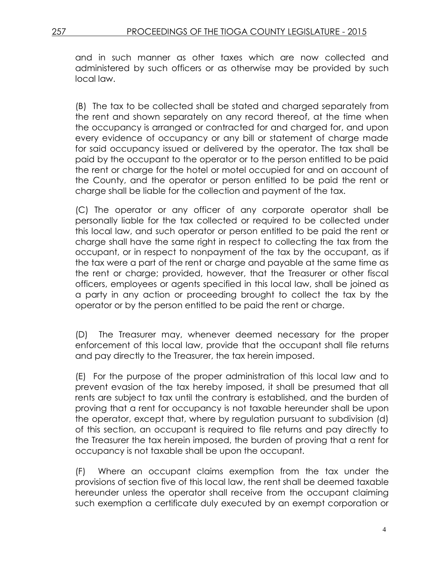and in such manner as other taxes which are now collected and administered by such officers or as otherwise may be provided by such local law.

(B) The tax to be collected shall be stated and charged separately from the rent and shown separately on any record thereof, at the time when the occupancy is arranged or contracted for and charged for, and upon every evidence of occupancy or any bill or statement of charge made for said occupancy issued or delivered by the operator. The tax shall be paid by the occupant to the operator or to the person entitled to be paid the rent or charge for the hotel or motel occupied for and on account of the County, and the operator or person entitled to be paid the rent or charge shall be liable for the collection and payment of the tax.

(C) The operator or any officer of any corporate operator shall be personally liable for the tax collected or required to be collected under this local law, and such operator or person entitled to be paid the rent or charge shall have the same right in respect to collecting the tax from the occupant, or in respect to nonpayment of the tax by the occupant, as if the tax were a part of the rent or charge and payable at the same time as the rent or charge; provided, however, that the Treasurer or other fiscal officers, employees or agents specified in this local law, shall be joined as a party in any action or proceeding brought to collect the tax by the operator or by the person entitled to be paid the rent or charge.

(D) The Treasurer may, whenever deemed necessary for the proper enforcement of this local law, provide that the occupant shall file returns and pay directly to the Treasurer, the tax herein imposed.

(E) For the purpose of the proper administration of this local law and to prevent evasion of the tax hereby imposed, it shall be presumed that all rents are subject to tax until the contrary is established, and the burden of proving that a rent for occupancy is not taxable hereunder shall be upon the operator, except that, where by regulation pursuant to subdivision (d) of this section, an occupant is required to file returns and pay directly to the Treasurer the tax herein imposed, the burden of proving that a rent for occupancy is not taxable shall be upon the occupant.

(F) Where an occupant claims exemption from the tax under the provisions of section five of this local law, the rent shall be deemed taxable hereunder unless the operator shall receive from the occupant claiming such exemption a certificate duly executed by an exempt corporation or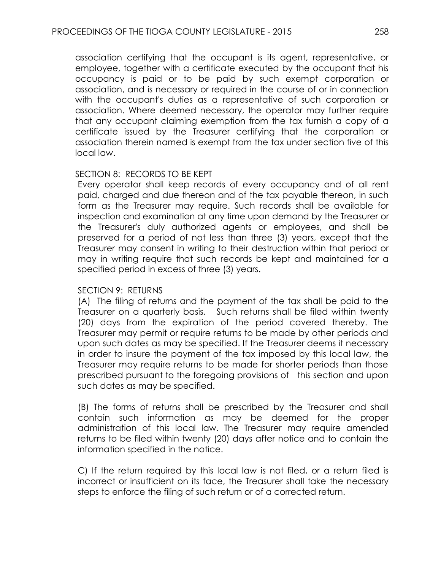association certifying that the occupant is its agent, representative, or employee, together with a certificate executed by the occupant that his occupancy is paid or to be paid by such exempt corporation or association, and is necessary or required in the course of or in connection with the occupant's duties as a representative of such corporation or association. Where deemed necessary, the operator may further require that any occupant claiming exemption from the tax furnish a copy of a certificate issued by the Treasurer certifying that the corporation or association therein named is exempt from the tax under section five of this local law.

### SECTION 8: RECORDS TO BE KEPT

Every operator shall keep records of every occupancy and of all rent paid, charged and due thereon and of the tax payable thereon, in such form as the Treasurer may require. Such records shall be available for inspection and examination at any time upon demand by the Treasurer or the Treasurer's duly authorized agents or employees, and shall be preserved for a period of not less than three (3) years, except that the Treasurer may consent in writing to their destruction within that period or may in writing require that such records be kept and maintained for a specified period in excess of three (3) years.

#### SECTION 9: RETURNS

(A) The filing of returns and the payment of the tax shall be paid to the Treasurer on a quarterly basis. Such returns shall be filed within twenty (20) days from the expiration of the period covered thereby. The Treasurer may permit or require returns to be made by other periods and upon such dates as may be specified. If the Treasurer deems it necessary in order to insure the payment of the tax imposed by this local law, the Treasurer may require returns to be made for shorter periods than those prescribed pursuant to the foregoing provisions of this section and upon such dates as may be specified.

(B) The forms of returns shall be prescribed by the Treasurer and shall contain such information as may be deemed for the proper administration of this local law. The Treasurer may require amended returns to be filed within twenty (20) days after notice and to contain the information specified in the notice.

C) If the return required by this local law is not filed, or a return filed is incorrect or insufficient on its face, the Treasurer shall take the necessary steps to enforce the filing of such return or of a corrected return.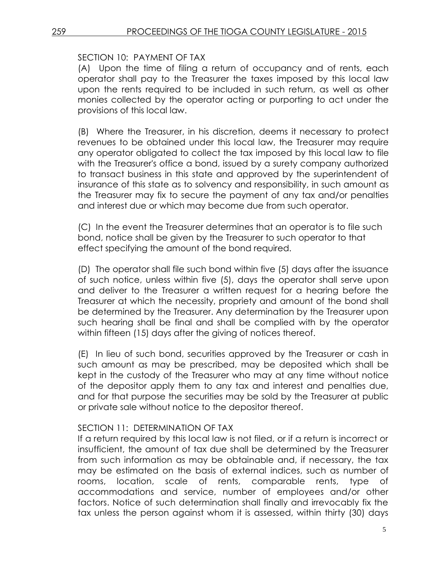## SECTION 10: PAYMENT OF TAX

(A) Upon the time of filing a return of occupancy and of rents, each operator shall pay to the Treasurer the taxes imposed by this local law upon the rents required to be included in such return, as well as other monies collected by the operator acting or purporting to act under the provisions of this local law.

(B) Where the Treasurer, in his discretion, deems it necessary to protect revenues to be obtained under this local law, the Treasurer may require any operator obligated to collect the tax imposed by this local law to file with the Treasurer's office a bond, issued by a surety company authorized to transact business in this state and approved by the superintendent of insurance of this state as to solvency and responsibility, in such amount as the Treasurer may fix to secure the payment of any tax and/or penalties and interest due or which may become due from such operator.

(C) In the event the Treasurer determines that an operator is to file such bond, notice shall be given by the Treasurer to such operator to that effect specifying the amount of the bond required.

(D) The operator shall file such bond within five (5) days after the issuance of such notice, unless within five (5), days the operator shall serve upon and deliver to the Treasurer a written request for a hearing before the Treasurer at which the necessity, propriety and amount of the bond shall be determined by the Treasurer. Any determination by the Treasurer upon such hearing shall be final and shall be complied with by the operator within fifteen (15) days after the giving of notices thereof.

(E) In lieu of such bond, securities approved by the Treasurer or cash in such amount as may be prescribed, may be deposited which shall be kept in the custody of the Treasurer who may at any time without notice of the depositor apply them to any tax and interest and penalties due, and for that purpose the securities may be sold by the Treasurer at public or private sale without notice to the depositor thereof.

## SECTION 11: DETERMINATION OF TAX

If a return required by this local law is not filed, or if a return is incorrect or insufficient, the amount of tax due shall be determined by the Treasurer from such information as may be obtainable and, if necessary, the tax may be estimated on the basis of external indices, such as number of rooms, location, scale of rents, comparable rents, type of accommodations and service, number of employees and/or other factors. Notice of such determination shall finally and irrevocably fix the tax unless the person against whom it is assessed, within thirty (30) days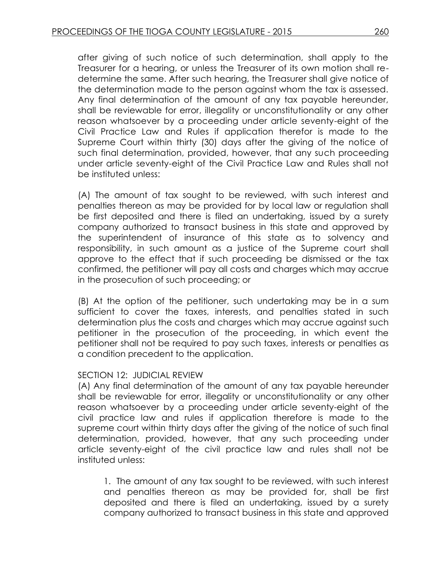after giving of such notice of such determination, shall apply to the Treasurer for a hearing, or unless the Treasurer of its own motion shall redetermine the same. After such hearing, the Treasurer shall give notice of the determination made to the person against whom the tax is assessed. Any final determination of the amount of any tax payable hereunder, shall be reviewable for error, illegality or unconstitutionality or any other reason whatsoever by a proceeding under article seventy-eight of the Civil Practice Law and Rules if application therefor is made to the Supreme Court within thirty (30) days after the giving of the notice of such final determination, provided, however, that any such proceeding under article seventy-eight of the Civil Practice Law and Rules shall not be instituted unless:

(A) The amount of tax sought to be reviewed, with such interest and penalties thereon as may be provided for by local law or regulation shall be first deposited and there is filed an undertaking, issued by a surety company authorized to transact business in this state and approved by the superintendent of insurance of this state as to solvency and responsibility, in such amount as a justice of the Supreme court shall approve to the effect that if such proceeding be dismissed or the tax confirmed, the petitioner will pay all costs and charges which may accrue in the prosecution of such proceeding; or

(B) At the option of the petitioner, such undertaking may be in a sum sufficient to cover the taxes, interests, and penalties stated in such determination plus the costs and charges which may accrue against such petitioner in the prosecution of the proceeding, in which event the petitioner shall not be required to pay such taxes, interests or penalties as a condition precedent to the application.

## SECTION 12: JUDICIAL REVIEW

(A) Any final determination of the amount of any tax payable hereunder shall be reviewable for error, illegality or unconstitutionality or any other reason whatsoever by a proceeding under article seventy-eight of the civil practice law and rules if application therefore is made to the supreme court within thirty days after the giving of the notice of such final determination, provided, however, that any such proceeding under article seventy-eight of the civil practice law and rules shall not be instituted unless:

1. The amount of any tax sought to be reviewed, with such interest and penalties thereon as may be provided for, shall be first deposited and there is filed an undertaking, issued by a surety company authorized to transact business in this state and approved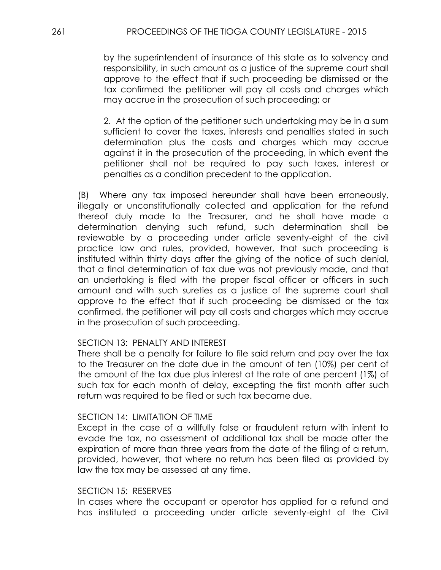by the superintendent of insurance of this state as to solvency and responsibility, in such amount as a justice of the supreme court shall approve to the effect that if such proceeding be dismissed or the tax confirmed the petitioner will pay all costs and charges which may accrue in the prosecution of such proceeding; or

2. At the option of the petitioner such undertaking may be in a sum sufficient to cover the taxes, interests and penalties stated in such determination plus the costs and charges which may accrue against it in the prosecution of the proceeding, in which event the petitioner shall not be required to pay such taxes, interest or penalties as a condition precedent to the application.

(B) Where any tax imposed hereunder shall have been erroneously, illegally or unconstitutionally collected and application for the refund thereof duly made to the Treasurer, and he shall have made a determination denying such refund, such determination shall be reviewable by a proceeding under article seventy-eight of the civil practice law and rules, provided, however, that such proceeding is instituted within thirty days after the giving of the notice of such denial, that a final determination of tax due was not previously made, and that an undertaking is filed with the proper fiscal officer or officers in such amount and with such sureties as a justice of the supreme court shall approve to the effect that if such proceeding be dismissed or the tax confirmed, the petitioner will pay all costs and charges which may accrue in the prosecution of such proceeding.

## SECTION 13: PENALTY AND INTEREST

There shall be a penalty for failure to file said return and pay over the tax to the Treasurer on the date due in the amount of ten (10%) per cent of the amount of the tax due plus interest at the rate of one percent (1%) of such tax for each month of delay, excepting the first month after such return was required to be filed or such tax became due.

## SECTION 14: LIMITATION OF TIME

Except in the case of a willfully false or fraudulent return with intent to evade the tax, no assessment of additional tax shall be made after the expiration of more than three years from the date of the filing of a return, provided, however, that where no return has been filed as provided by law the tax may be assessed at any time.

## SECTION 15: RESERVES

In cases where the occupant or operator has applied for a refund and has instituted a proceeding under article seventy-eight of the Civil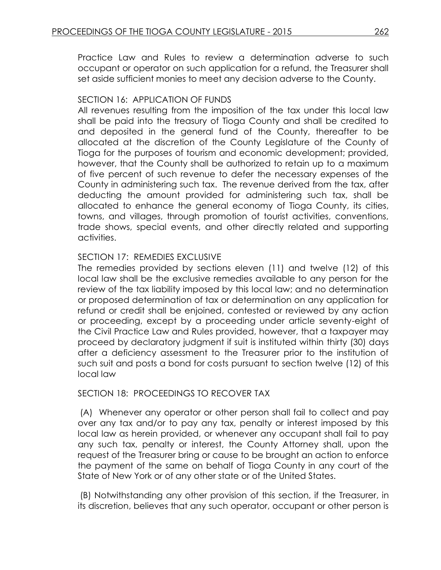Practice Law and Rules to review a determination adverse to such occupant or operator on such application for a refund, the Treasurer shall set aside sufficient monies to meet any decision adverse to the County.

## SECTION 16: APPLICATION OF FUNDS

All revenues resulting from the imposition of the tax under this local law shall be paid into the treasury of Tioga County and shall be credited to and deposited in the general fund of the County, thereafter to be allocated at the discretion of the County Legislature of the County of Tioga for the purposes of tourism and economic development; provided, however, that the County shall be authorized to retain up to a maximum of five percent of such revenue to defer the necessary expenses of the County in administering such tax. The revenue derived from the tax, after deducting the amount provided for administering such tax, shall be allocated to enhance the general economy of Tioga County, its cities, towns, and villages, through promotion of tourist activities, conventions, trade shows, special events, and other directly related and supporting activities.

## SECTION 17: REMEDIES EXCLUSIVE

The remedies provided by sections eleven (11) and twelve (12) of this local law shall be the exclusive remedies available to any person for the review of the tax liability imposed by this local law; and no determination or proposed determination of tax or determination on any application for refund or credit shall be enjoined, contested or reviewed by any action or proceeding, except by a proceeding under article seventy-eight of the Civil Practice Law and Rules provided, however, that a taxpayer may proceed by declaratory judgment if suit is instituted within thirty (30) days after a deficiency assessment to the Treasurer prior to the institution of such suit and posts a bond for costs pursuant to section twelve (12) of this local law

## SECTION 18: PROCEEDINGS TO RECOVER TAX

(A) Whenever any operator or other person shall fail to collect and pay over any tax and/or to pay any tax, penalty or interest imposed by this local law as herein provided, or whenever any occupant shall fail to pay any such tax, penalty or interest, the County Attorney shall, upon the request of the Treasurer bring or cause to be brought an action to enforce the payment of the same on behalf of Tioga County in any court of the State of New York or of any other state or of the United States.

(B) Notwithstanding any other provision of this section, if the Treasurer, in its discretion, believes that any such operator, occupant or other person is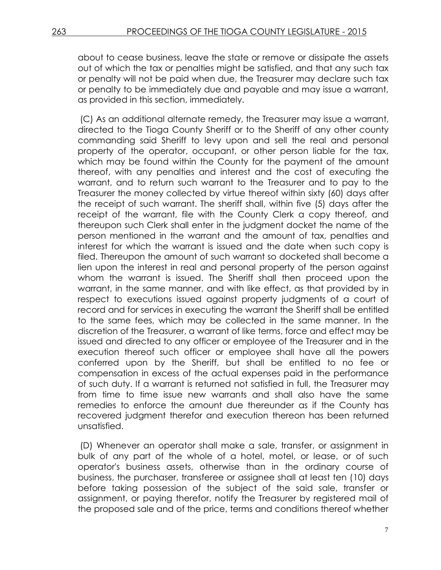about to cease business, leave the state or remove or dissipate the assets out of which the tax or penalties might be satisfied, and that any such tax or penalty will not be paid when due, the Treasurer may declare such tax or penalty to be immediately due and payable and may issue a warrant, as provided in this section, immediately.

(C) As an additional alternate remedy, the Treasurer may issue a warrant, directed to the Tioga County Sheriff or to the Sheriff of any other county commanding said Sheriff to levy upon and sell the real and personal property of the operator, occupant, or other person liable for the tax, which may be found within the County for the payment of the amount thereof, with any penalties and interest and the cost of executing the warrant, and to return such warrant to the Treasurer and to pay to the Treasurer the money collected by virtue thereof within sixty (60) days after the receipt of such warrant. The sheriff shall, within five (5) days after the receipt of the warrant, file with the County Clerk a copy thereof, and thereupon such Clerk shall enter in the judgment docket the name of the person mentioned in the warrant and the amount of tax, penalties and interest for which the warrant is issued and the date when such copy is filed. Thereupon the amount of such warrant so docketed shall become a lien upon the interest in real and personal property of the person against whom the warrant is issued. The Sheriff shall then proceed upon the warrant, in the same manner, and with like effect, as that provided by in respect to executions issued against property judgments of a court of record and for services in executing the warrant the Sheriff shall be entitled to the same fees, which may be collected in the same manner. In the discretion of the Treasurer, a warrant of like terms, force and effect may be issued and directed to any officer or employee of the Treasurer and in the execution thereof such officer or employee shall have all the powers conferred upon by the Sheriff, but shall be entitled to no fee or compensation in excess of the actual expenses paid in the performance of such duty. If a warrant is returned not satisfied in full, the Treasurer may from time to time issue new warrants and shall also have the same remedies to enforce the amount due thereunder as if the County has recovered judgment therefor and execution thereon has been returned unsatisfied.

(D) Whenever an operator shall make a sale, transfer, or assignment in bulk of any part of the whole of a hotel, motel, or lease, or of such operator's business assets, otherwise than in the ordinary course of business, the purchaser, transferee or assignee shall at least ten (10) days before taking possession of the subject of the said sale, transfer or assignment, or paying therefor, notify the Treasurer by registered mail of the proposed sale and of the price, terms and conditions thereof whether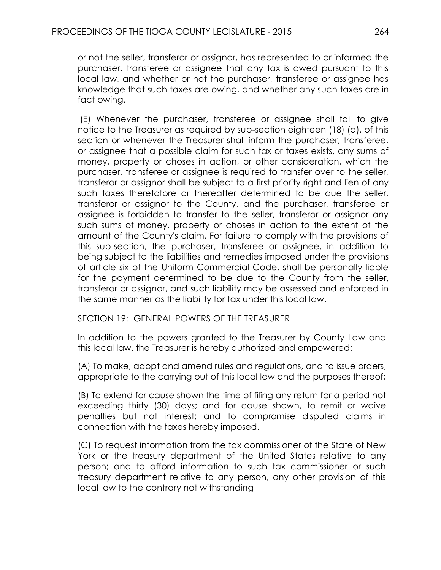or not the seller, transferor or assignor, has represented to or informed the purchaser, transferee or assignee that any tax is owed pursuant to this local law, and whether or not the purchaser, transferee or assignee has knowledge that such taxes are owing, and whether any such taxes are in fact owing.

(E) Whenever the purchaser, transferee or assignee shall fail to give notice to the Treasurer as required by sub-section eighteen (18) (d), of this section or whenever the Treasurer shall inform the purchaser, transferee, or assignee that a possible claim for such tax or taxes exists, any sums of money, property or choses in action, or other consideration, which the purchaser, transferee or assignee is required to transfer over to the seller, transferor or assignor shall be subject to a first priority right and lien of any such taxes theretofore or thereafter determined to be due the seller, transferor or assignor to the County, and the purchaser, transferee or assignee is forbidden to transfer to the seller, transferor or assignor any such sums of money, property or choses in action to the extent of the amount of the County's claim. For failure to comply with the provisions of this sub-section, the purchaser, transferee or assignee, in addition to being subject to the liabilities and remedies imposed under the provisions of article six of the Uniform Commercial Code, shall be personally liable for the payment determined to be due to the County from the seller, transferor or assignor, and such liability may be assessed and enforced in the same manner as the liability for tax under this local law.

## SECTION 19: GENERAL POWERS OF THE TREASURER

In addition to the powers granted to the Treasurer by County Law and this local law, the Treasurer is hereby authorized and empowered:

(A) To make, adopt and amend rules and regulations, and to issue orders, appropriate to the carrying out of this local law and the purposes thereof;

(B) To extend for cause shown the time of filing any return for a period not exceeding thirty (30) days; and for cause shown, to remit or waive penalties but not interest; and to compromise disputed claims in connection with the taxes hereby imposed.

(C) To request information from the tax commissioner of the State of New York or the treasury department of the United States relative to any person; and to afford information to such tax commissioner or such treasury department relative to any person, any other provision of this local law to the contrary not withstanding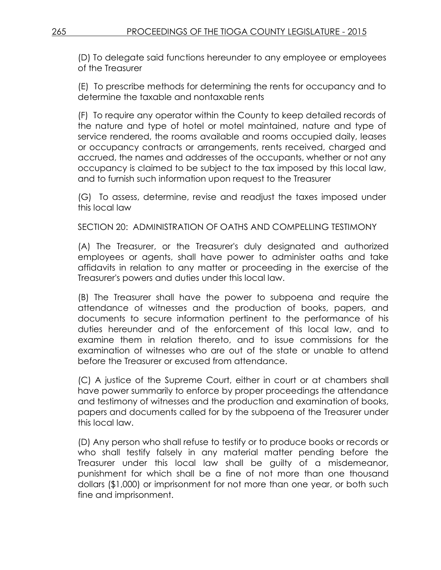(D) To delegate said functions hereunder to any employee or employees of the Treasurer

(E) To prescribe methods for determining the rents for occupancy and to determine the taxable and nontaxable rents

(F) To require any operator within the County to keep detailed records of the nature and type of hotel or motel maintained, nature and type of service rendered, the rooms available and rooms occupied daily, leases or occupancy contracts or arrangements, rents received, charged and accrued, the names and addresses of the occupants, whether or not any occupancy is claimed to be subject to the tax imposed by this local law, and to furnish such information upon request to the Treasurer

(G) To assess, determine, revise and readjust the taxes imposed under this local law

SECTION 20: ADMINISTRATION OF OATHS AND COMPELLING TESTIMONY

(A) The Treasurer, or the Treasurer's duly designated and authorized employees or agents, shall have power to administer oaths and take affidavits in relation to any matter or proceeding in the exercise of the Treasurer's powers and duties under this local law.

(B) The Treasurer shall have the power to subpoena and require the attendance of witnesses and the production of books, papers, and documents to secure information pertinent to the performance of his duties hereunder and of the enforcement of this local law, and to examine them in relation thereto, and to issue commissions for the examination of witnesses who are out of the state or unable to attend before the Treasurer or excused from attendance.

(C) A justice of the Supreme Court, either in court or at chambers shall have power summarily to enforce by proper proceedings the attendance and testimony of witnesses and the production and examination of books, papers and documents called for by the subpoena of the Treasurer under this local law.

(D) Any person who shall refuse to testify or to produce books or records or who shall testify falsely in any material matter pending before the Treasurer under this local law shall be guilty of a misdemeanor, punishment for which shall be a fine of not more than one thousand dollars (\$1,000) or imprisonment for not more than one year, or both such fine and imprisonment.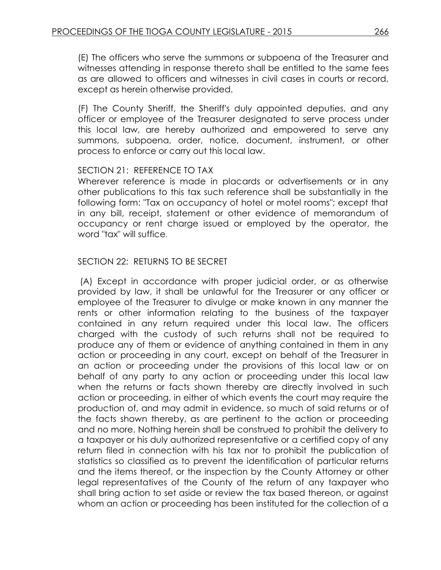(E) The officers who serve the summons or subpoena of the Treasurer and witnesses attending in response thereto shall be entitled to the same fees as are allowed to officers and witnesses in civil cases in courts or record, except as herein otherwise provided.

(F) The County Sheriff, the Sheriff's duly appointed deputies, and any officer or employee of the Treasurer designated to serve process under this local law, are hereby authorized and empowered to serve any summons, subpoena, order, notice, document, instrument, or other process to enforce or carry out this local law.

## SECTION 21: REFERENCE TO TAX

Wherever reference is made in placards or advertisements or in any other publications to this tax such reference shall be substantially in the following form: "Tax on occupancy of hotel or motel rooms"; except that in any bill, receipt, statement or other evidence of memorandum of occupancy or rent charge issued or employed by the operator, the word "tax" will suffice.

## SECTION 22: RETURNS TO BE SECRET

(A) Except in accordance with proper judicial order, or as otherwise provided by law, it shall be unlawful for the Treasurer or any officer or employee of the Treasurer to divulge or make known in any manner the rents or other information relating to the business of the taxpayer contained in any return required under this local law. The officers charged with the custody of such returns shall not be required to produce any of them or evidence of anything contained in them in any action or proceeding in any court, except on behalf of the Treasurer in an action or proceeding under the provisions of this local law or on behalf of any party to any action or proceeding under this local law when the returns or facts shown thereby are directly involved in such action or proceeding, in either of which events the court may require the production of, and may admit in evidence, so much of said returns or of the facts shown thereby, as are pertinent to the action or proceeding and no more. Nothing herein shall be construed to prohibit the delivery to a taxpayer or his duly authorized representative or a certified copy of any return filed in connection with his tax nor to prohibit the publication of statistics so classified as to prevent the identification of particular returns and the items thereof, or the inspection by the County Attorney or other legal representatives of the County of the return of any taxpayer who shall bring action to set aside or review the tax based thereon, or against whom an action or proceeding has been instituted for the collection of a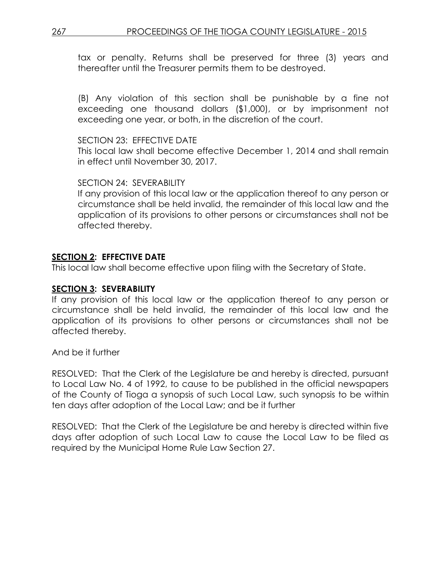tax or penalty. Returns shall be preserved for three (3) years and thereafter until the Treasurer permits them to be destroyed.

(B) Any violation of this section shall be punishable by a fine not exceeding one thousand dollars (\$1,000), or by imprisonment not exceeding one year, or both, in the discretion of the court.

### SECTION 23: FEFECTIVE DATE

This local law shall become effective December 1, 2014 and shall remain in effect until November 30, 2017.

### SECTION 24: SEVERABILITY

If any provision of this local law or the application thereof to any person or circumstance shall be held invalid, the remainder of this local law and the application of its provisions to other persons or circumstances shall not be affected thereby.

## **SECTION 2: EFFECTIVE DATE**

This local law shall become effective upon filing with the Secretary of State.

## **SECTION 3: SEVERABILITY**

If any provision of this local law or the application thereof to any person or circumstance shall be held invalid, the remainder of this local law and the application of its provisions to other persons or circumstances shall not be affected thereby.

And be it further

RESOLVED: That the Clerk of the Legislature be and hereby is directed, pursuant to Local Law No. 4 of 1992, to cause to be published in the official newspapers of the County of Tioga a synopsis of such Local Law, such synopsis to be within ten days after adoption of the Local Law; and be it further

RESOLVED: That the Clerk of the Legislature be and hereby is directed within five days after adoption of such Local Law to cause the Local Law to be filed as required by the Municipal Home Rule Law Section 27.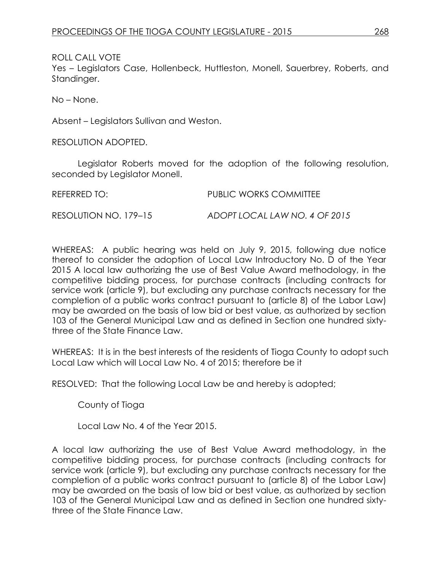ROLL CALL VOTE

Yes – Legislators Case, Hollenbeck, Huttleston, Monell, Sauerbrey, Roberts, and Standinger.

No – None.

Absent – Legislators Sullivan and Weston.

RESOLUTION ADOPTED.

Legislator Roberts moved for the adoption of the following resolution, seconded by Legislator Monell.

| REFERRED TO:          | PUBLIC WORKS COMMITTEE        |  |  |  |
|-----------------------|-------------------------------|--|--|--|
| RESOLUTION NO. 179-15 | ADOPT LOCAL LAW NO. 4 OF 2015 |  |  |  |

WHEREAS: A public hearing was held on July 9, 2015, following due notice thereof to consider the adoption of Local Law Introductory No. D of the Year 2015 A local law authorizing the use of Best Value Award methodology, in the competitive bidding process, for purchase contracts (including contracts for service work (article 9), but excluding any purchase contracts necessary for the completion of a public works contract pursuant to (article 8) of the Labor Law) may be awarded on the basis of low bid or best value, as authorized by section 103 of the General Municipal Law and as defined in Section one hundred sixtythree of the State Finance Law.

WHEREAS: It is in the best interests of the residents of Tioga County to adopt such Local Law which will Local Law No. 4 of 2015; therefore be it

RESOLVED: That the following Local Law be and hereby is adopted;

County of Tioga

Local Law No. 4 of the Year 2015.

A local law authorizing the use of Best Value Award methodology, in the competitive bidding process, for purchase contracts (including contracts for service work (article 9), but excluding any purchase contracts necessary for the completion of a public works contract pursuant to (article 8) of the Labor Law) may be awarded on the basis of low bid or best value, as authorized by section 103 of the General Municipal Law and as defined in Section one hundred sixtythree of the State Finance Law.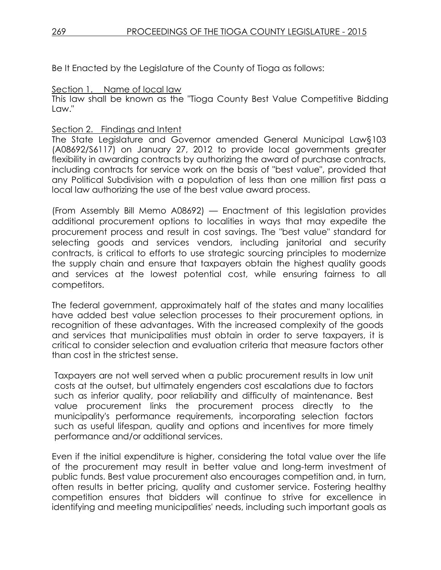Be It Enacted by the Legislature of the County of Tioga as follows:

### Section 1. Name of local law

This law shall be known as the "Tioga County Best Value Competitive Bidding Law."

## Section 2. Findings and Intent

The State Legislature and Governor amended General Municipal Law§103 (A08692/S6117) on January 27, 2012 to provide local governments greater flexibility in awarding contracts by authorizing the award of purchase contracts, including contracts for service work on the basis of "best value", provided that any Political Subdivision with a population of less than one million first pass a local law authorizing the use of the best value award process.

(From Assembly Bill Memo A08692) — Enactment of this legislation provides additional procurement options to localities in ways that may expedite the procurement process and result in cost savings. The "best value" standard for selecting goods and services vendors, including janitorial and security contracts, is critical to efforts to use strategic sourcing principles to modernize the supply chain and ensure that taxpayers obtain the highest quality goods and services at the lowest potential cost, while ensuring fairness to all competitors.

The federal government, approximately half of the states and many localities have added best value selection processes to their procurement options, in recognition of these advantages. With the increased complexity of the goods and services that municipalities must obtain in order to serve taxpayers, it is critical to consider selection and evaluation criteria that measure factors other than cost in the strictest sense.

Taxpayers are not well served when a public procurement results in low unit costs at the outset, but ultimately engenders cost escalations due to factors such as inferior quality, poor reliability and difficulty of maintenance. Best value procurement links the procurement process directly to the municipality's performance requirements, incorporating selection factors such as useful lifespan, quality and options and incentives for more timely performance and/or additional services.

Even if the initial expenditure is higher, considering the total value over the life of the procurement may result in better value and long-term investment of public funds. Best value procurement also encourages competition and, in turn, often results in better pricing, quality and customer service. Fostering healthy competition ensures that bidders will continue to strive for excellence in identifying and meeting municipalities' needs, including such important goals as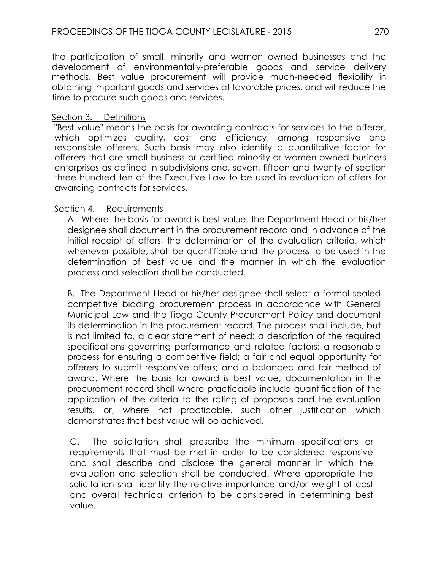the participation of small, minority and women owned businesses and the development of environmentally-preferable goods and service delivery methods. Best value procurement will provide much-needed flexibility in obtaining important goods and services at favorable prices, and will reduce the time to procure such goods and services.

## Section 3. Definitions

"Best value" means the basis for awarding contracts for services to the offerer, which optimizes quality, cost and efficiency, among responsive and responsible offerers. Such basis may also identify a quantitative factor for offerers that are small business or certified minority-or women-owned business enterprises as defined in subdivisions one, seven, fifteen and twenty of section three hundred ten of the Executive Law to be used in evaluation of offers for awarding contracts for services.

## Section 4. Requirements

A. Where the basis for award is best value, the Department Head or his/her designee shall document in the procurement record and in advance of the initial receipt of offers, the determination of the evaluation criteria, which whenever possible, shall be quantifiable and the process to be used in the determination of best value and the manner in which the evaluation process and selection shall be conducted.

B. The Department Head or his/her designee shall select a formal sealed competitive bidding procurement process in accordance with General Municipal Law and the Tioga County Procurement Policy and document its determination in the procurement record. The process shall include, but is not limited to, a clear statement of need; a description of the required specifications governing performance and related factors; a reasonable process for ensuring a competitive field; a fair and equal opportunity for offerers to submit responsive offers; and a balanced and fair method of award. Where the basis for award is best value, documentation in the procurement record shall where practicable include quantification of the application of the criteria to the rating of proposals and the evaluation results, or, where not practicable, such other justification which demonstrates that best value will be achieved.

C. The solicitation shall prescribe the minimum specifications or requirements that must be met in order to be considered responsive and shall describe and disclose the general manner in which the evaluation and selection shall be conducted. Where appropriate the solicitation shall identify the relative importance and/or weight of cost and overall technical criterion to be considered in determining best value.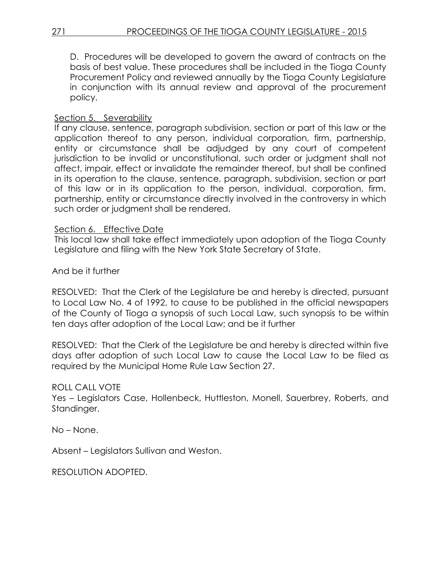D. Procedures will be developed to govern the award of contracts on the basis of best value. These procedures shall be included in the Tioga County Procurement Policy and reviewed annually by the Tioga County Legislature in conjunction with its annual review and approval of the procurement policy.

## Section 5. Severability

If any clause, sentence, paragraph subdivision, section or part of this law or the application thereof to any person, individual corporation, firm, partnership, entity or circumstance shall be adjudged by any court of competent jurisdiction to be invalid or unconstitutional, such order or judgment shall not affect, impair, effect or invalidate the remainder thereof, but shall be confined in its operation to the clause, sentence, paragraph, subdivision, section or part of this law or in its application to the person, individual, corporation, firm, partnership, entity or circumstance directly involved in the controversy in which such order or judgment shall be rendered.

## Section 6. Effective Date

This local law shall take effect immediately upon adoption of the Tioga County Legislature and filing with the New York State Secretary of State.

And be it further

RESOLVED: That the Clerk of the Legislature be and hereby is directed, pursuant to Local Law No. 4 of 1992, to cause to be published in the official newspapers of the County of Tioga a synopsis of such Local Law, such synopsis to be within ten days after adoption of the Local Law; and be it further

RESOLVED: That the Clerk of the Legislature be and hereby is directed within five days after adoption of such Local Law to cause the Local Law to be filed as required by the Municipal Home Rule Law Section 27.

## ROLL CALL VOTE

Yes – Legislators Case, Hollenbeck, Huttleston, Monell, Sauerbrey, Roberts, and Standinger.

No – None.

Absent – Legislators Sullivan and Weston.

RESOLUTION ADOPTED.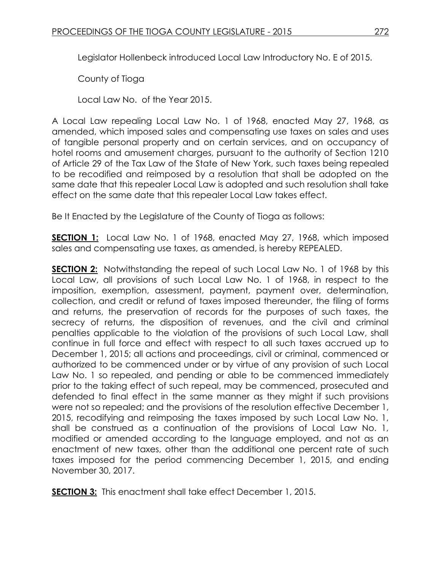Legislator Hollenbeck introduced Local Law Introductory No. E of 2015.

County of Tioga

Local Law No. of the Year 2015.

A Local Law repealing Local Law No. 1 of 1968, enacted May 27, 1968, as amended, which imposed sales and compensating use taxes on sales and uses of tangible personal property and on certain services, and on occupancy of hotel rooms and amusement charges, pursuant to the authority of Section 1210 of Article 29 of the Tax Law of the State of New York, such taxes being repealed to be recodified and reimposed by a resolution that shall be adopted on the same date that this repealer Local Law is adopted and such resolution shall take effect on the same date that this repealer Local Law takes effect.

Be It Enacted by the Legislature of the County of Tioga as follows:

**SECTION 1:** Local Law No. 1 of 1968, enacted May 27, 1968, which imposed sales and compensating use taxes, as amended, is hereby REPEALED.

**SECTION 2:** Notwithstanding the repeal of such Local Law No. 1 of 1968 by this Local Law, all provisions of such Local Law No. 1 of 1968, in respect to the imposition, exemption, assessment, payment, payment over, determination, collection, and credit or refund of taxes imposed thereunder, the filing of forms and returns, the preservation of records for the purposes of such taxes, the secrecy of returns, the disposition of revenues, and the civil and criminal penalties applicable to the violation of the provisions of such Local Law, shall continue in full force and effect with respect to all such taxes accrued up to December 1, 2015; all actions and proceedings, civil or criminal, commenced or authorized to be commenced under or by virtue of any provision of such Local Law No. 1 so repealed, and pending or able to be commenced immediately prior to the taking effect of such repeal, may be commenced, prosecuted and defended to final effect in the same manner as they might if such provisions were not so repealed; and the provisions of the resolution effective December 1, 2015, recodifying and reimposing the taxes imposed by such Local Law No. 1, shall be construed as a continuation of the provisions of Local Law No. 1, modified or amended according to the language employed, and not as an enactment of new taxes, other than the additional one percent rate of such taxes imposed for the period commencing December 1, 2015, and ending November 30, 2017.

**SECTION 3:** This enactment shall take effect December 1, 2015.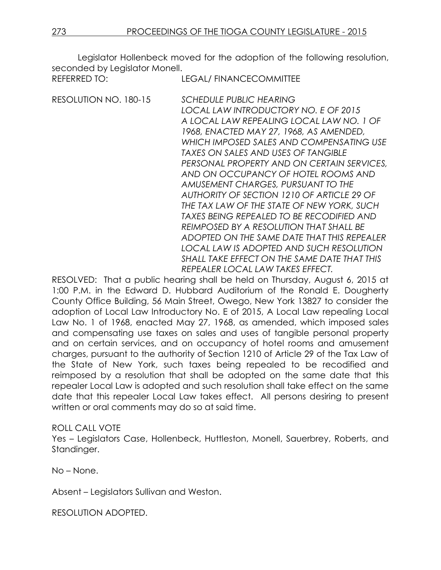Legislator Hollenbeck moved for the adoption of the following resolution, seconded by Legislator Monell.

| REFERRED TO:          | <b>LEGAL/ FINANCECOMMITTEE</b>                                                                                                                                                                                                                                                                                                                                                                                                                                                                                                                                                                                                                                                                             |
|-----------------------|------------------------------------------------------------------------------------------------------------------------------------------------------------------------------------------------------------------------------------------------------------------------------------------------------------------------------------------------------------------------------------------------------------------------------------------------------------------------------------------------------------------------------------------------------------------------------------------------------------------------------------------------------------------------------------------------------------|
| RESOLUTION NO. 180-15 | <b>SCHEDULE PUBLIC HEARING</b><br>LOCAL LAW INTRODUCTORY NO. E OF 2015<br>A LOCAL LAW REPEALING LOCAL LAW NO. 1 OF<br>1968, ENACTED MAY 27, 1968, AS AMENDED,<br>WHICH IMPOSED SALES AND COMPENSATING USE<br>TAXES ON SALES AND USES OF TANGIBLE<br>PERSONAL PROPERTY AND ON CERTAIN SERVICES,<br>AND ON OCCUPANCY OF HOTEL ROOMS AND<br>AMUSEMENT CHARGES, PURSUANT TO THE<br>AUTHORITY OF SECTION 1210 OF ARTICLE 29 OF<br>THE TAX LAW OF THE STATE OF NEW YORK, SUCH<br>TAXES BEING REPEALED TO BE RECODIFIED AND<br>REIMPOSED BY A RESOLUTION THAT SHALL BE<br>ADOPTED ON THE SAME DATE THAT THIS REPEALER<br>LOCAL LAW IS ADOPTED AND SUCH RESOLUTION<br>SHALL TAKE EFFECT ON THE SAME DATE THAT THIS |
|                       | REPEALER LOCAL LAW TAKES EFFECT.                                                                                                                                                                                                                                                                                                                                                                                                                                                                                                                                                                                                                                                                           |

RESOLVED: That a public hearing shall be held on Thursday, August 6, 2015 at 1:00 P.M. in the Edward D. Hubbard Auditorium of the Ronald E. Dougherty County Office Building, 56 Main Street, Owego, New York 13827 to consider the adoption of Local Law Introductory No. E of 2015, A Local Law repealing Local Law No. 1 of 1968, enacted May 27, 1968, as amended, which imposed sales and compensating use taxes on sales and uses of tangible personal property and on certain services, and on occupancy of hotel rooms and amusement charges, pursuant to the authority of Section 1210 of Article 29 of the Tax Law of the State of New York, such taxes being repealed to be recodified and reimposed by a resolution that shall be adopted on the same date that this repealer Local Law is adopted and such resolution shall take effect on the same date that this repealer Local Law takes effect. All persons desiring to present written or oral comments may do so at said time.

## ROLL CALL VOTE

Yes – Legislators Case, Hollenbeck, Huttleston, Monell, Sauerbrey, Roberts, and Standinger.

No – None.

Absent – Legislators Sullivan and Weston.

RESOLUTION ADOPTED.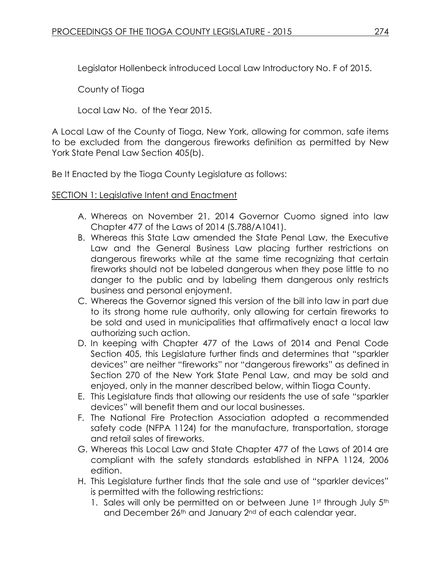Legislator Hollenbeck introduced Local Law Introductory No. F of 2015.

County of Tioga

Local Law No. of the Year 2015.

A Local Law of the County of Tioga, New York, allowing for common, safe items to be excluded from the dangerous fireworks definition as permitted by New York State Penal Law Section 405(b).

Be It Enacted by the Tioga County Legislature as follows:

## SECTION 1: Legislative Intent and Enactment

- A. Whereas on November 21, 2014 Governor Cuomo signed into law Chapter 477 of the Laws of 2014 (S.788/A1041).
- B. Whereas this State Law amended the State Penal Law, the Executive Law and the General Business Law placing further restrictions on dangerous fireworks while at the same time recognizing that certain fireworks should not be labeled dangerous when they pose little to no danger to the public and by labeling them dangerous only restricts business and personal enjoyment.
- C. Whereas the Governor signed this version of the bill into law in part due to its strong home rule authority, only allowing for certain fireworks to be sold and used in municipalities that affirmatively enact a local law authorizing such action.
- D. In keeping with Chapter 477 of the Laws of 2014 and Penal Code Section 405, this Legislature further finds and determines that "sparkler devices" are neither "fireworks" nor "dangerous fireworks" as defined in Section 270 of the New York State Penal Law, and may be sold and enjoyed, only in the manner described below, within Tioga County.
- E. This Legislature finds that allowing our residents the use of safe "sparkler devices" will benefit them and our local businesses.
- F. The National Fire Protection Association adopted a recommended safety code (NFPA 1124) for the manufacture, transportation, storage and retail sales of fireworks.
- G. Whereas this Local Law and State Chapter 477 of the Laws of 2014 are compliant with the safety standards established in NFPA 1124, 2006 edition.
- H. This Legislature further finds that the sale and use of "sparkler devices" is permitted with the following restrictions:
	- 1. Sales will only be permitted on or between June 1st through July 5th and December 26<sup>th</sup> and January 2<sup>nd</sup> of each calendar year.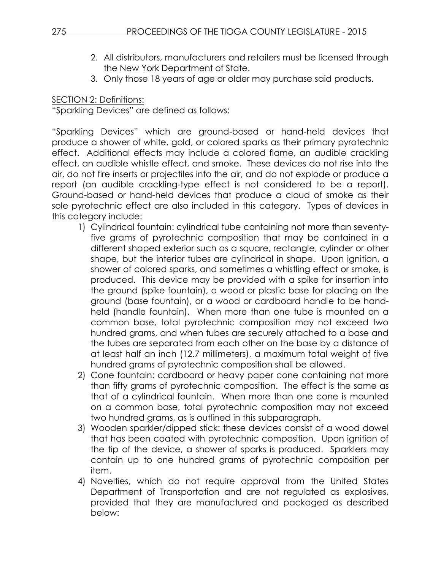- 2. All distributors, manufacturers and retailers must be licensed through the New York Department of State.
- 3. Only those 18 years of age or older may purchase said products.

SECTION 2: Definitions:

"Sparkling Devices" are defined as follows:

"Sparkling Devices" which are ground-based or hand-held devices that produce a shower of white, gold, or colored sparks as their primary pyrotechnic effect. Additional effects may include a colored flame, an audible crackling effect, an audible whistle effect, and smoke. These devices do not rise into the air, do not fire inserts or projectiles into the air, and do not explode or produce a report (an audible crackling-type effect is not considered to be a report). Ground-based or hand-held devices that produce a cloud of smoke as their sole pyrotechnic effect are also included in this category. Types of devices in this category include:

- 1) Cylindrical fountain: cylindrical tube containing not more than seventyfive grams of pyrotechnic composition that may be contained in a different shaped exterior such as a square, rectangle, cylinder or other shape, but the interior tubes are cylindrical in shape. Upon ignition, a shower of colored sparks, and sometimes a whistling effect or smoke, is produced. This device may be provided with a spike for insertion into the ground (spike fountain), a wood or plastic base for placing on the ground (base fountain), or a wood or cardboard handle to be handheld (handle fountain). When more than one tube is mounted on a common base, total pyrotechnic composition may not exceed two hundred grams, and when tubes are securely attached to a base and the tubes are separated from each other on the base by a distance of at least half an inch (12.7 millimeters), a maximum total weight of five hundred grams of pyrotechnic composition shall be allowed.
- 2) Cone fountain: cardboard or heavy paper cone containing not more than fifty grams of pyrotechnic composition. The effect is the same as that of a cylindrical fountain. When more than one cone is mounted on a common base, total pyrotechnic composition may not exceed two hundred grams, as is outlined in this subparagraph.
- 3) Wooden sparkler/dipped stick: these devices consist of a wood dowel that has been coated with pyrotechnic composition. Upon ignition of the tip of the device, a shower of sparks is produced. Sparklers may contain up to one hundred grams of pyrotechnic composition per item.
- 4) Novelties, which do not require approval from the United States Department of Transportation and are not regulated as explosives, provided that they are manufactured and packaged as described below: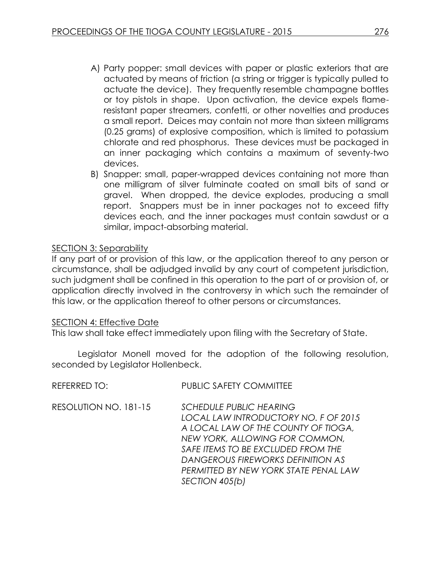- A) Party popper: small devices with paper or plastic exteriors that are actuated by means of friction (a string or trigger is typically pulled to actuate the device). They frequently resemble champagne bottles or toy pistols in shape. Upon activation, the device expels flameresistant paper streamers, confetti, or other novelties and produces a small report. Deices may contain not more than sixteen milligrams (0.25 grams) of explosive composition, which is limited to potassium chlorate and red phosphorus. These devices must be packaged in an inner packaging which contains a maximum of seventy-two devices.
- B) Snapper: small, paper-wrapped devices containing not more than one milligram of silver fulminate coated on small bits of sand or gravel. When dropped, the device explodes, producing a small report. Snappers must be in inner packages not to exceed fifty devices each, and the inner packages must contain sawdust or a similar, impact-absorbing material.

## SECTION 3: Separability

If any part of or provision of this law, or the application thereof to any person or circumstance, shall be adjudged invalid by any court of competent jurisdiction, such judgment shall be confined in this operation to the part of or provision of, or application directly involved in the controversy in which such the remainder of this law, or the application thereof to other persons or circumstances.

## SECTION 4: Effective Date

This law shall take effect immediately upon filing with the Secretary of State.

Legislator Monell moved for the adoption of the following resolution, seconded by Legislator Hollenbeck.

| REFERRED TO:          | PUBLIC SAFETY COMMITTEE                                                                                                                                                                                                                                                               |
|-----------------------|---------------------------------------------------------------------------------------------------------------------------------------------------------------------------------------------------------------------------------------------------------------------------------------|
| RESOLUTION NO. 181-15 | <b>SCHEDULE PUBLIC HEARING</b><br>LOCAL LAW INTRODUCTORY NO. F OF 2015<br>A LOCAL LAW OF THE COUNTY OF TIOGA,<br>NEW YORK, ALLOWING FOR COMMON,<br>SAFE ITEMS TO BE EXCLUDED FROM THE<br>DANGEROUS FIREWORKS DEFINITION AS<br>PERMITTED BY NEW YORK STATE PENAL LAW<br>SECTION 405(b) |
|                       |                                                                                                                                                                                                                                                                                       |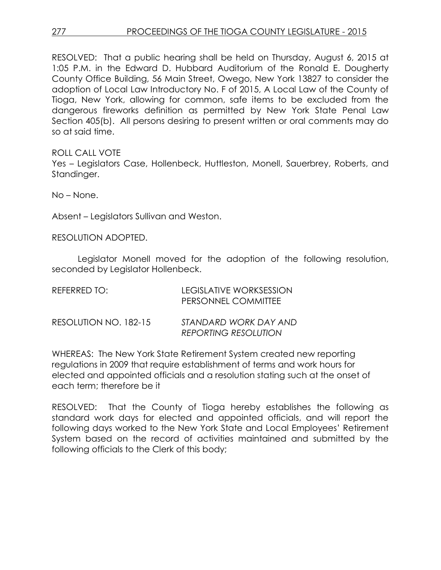RESOLVED: That a public hearing shall be held on Thursday, August 6, 2015 at 1:05 P.M. in the Edward D. Hubbard Auditorium of the Ronald E. Dougherty County Office Building, 56 Main Street, Owego, New York 13827 to consider the adoption of Local Law Introductory No. F of 2015, A Local Law of the County of Tioga, New York, allowing for common, safe items to be excluded from the dangerous fireworks definition as permitted by New York State Penal Law Section 405(b). All persons desiring to present written or oral comments may do so at said time.

ROLL CALL VOTE

Yes – Legislators Case, Hollenbeck, Huttleston, Monell, Sauerbrey, Roberts, and Standinger.

No – None.

Absent – Legislators Sullivan and Weston.

RESOLUTION ADOPTED.

Legislator Monell moved for the adoption of the following resolution, seconded by Legislator Hollenbeck.

| REFERRED TO:          | <b>LEGISLATIVE WORKSESSION</b><br>PERSONNEL COMMITTEE |
|-----------------------|-------------------------------------------------------|
| RESOLUTION NO. 182-15 | STANDARD WORK DAY AND<br><b>REPORTING RESOLUTION</b>  |

WHEREAS: The New York State Retirement System created new reporting regulations in 2009 that require establishment of terms and work hours for elected and appointed officials and a resolution stating such at the onset of each term; therefore be it

RESOLVED: That the County of Tioga hereby establishes the following as standard work days for elected and appointed officials, and will report the following days worked to the New York State and Local Employees' Retirement System based on the record of activities maintained and submitted by the following officials to the Clerk of this body;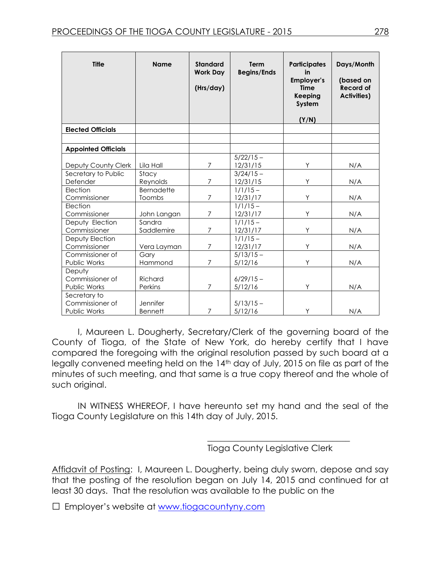| <b>Title</b>                    | <b>Name</b>        | <b>Standard</b><br><b>Work Day</b><br>(Hrs/day) | <b>Term</b><br><b>Begins/Ends</b> | <b>Participates</b><br>in<br><b>Employer's</b><br><b>Time</b><br>Keeping<br>System<br>(Y/N) | Days/Month<br>(based on<br><b>Record of</b><br><b>Activities)</b> |
|---------------------------------|--------------------|-------------------------------------------------|-----------------------------------|---------------------------------------------------------------------------------------------|-------------------------------------------------------------------|
| <b>Elected Officials</b>        |                    |                                                 |                                   |                                                                                             |                                                                   |
|                                 |                    |                                                 |                                   |                                                                                             |                                                                   |
| <b>Appointed Officials</b>      |                    |                                                 |                                   |                                                                                             |                                                                   |
|                                 |                    |                                                 | $5/22/15 -$                       |                                                                                             |                                                                   |
| Deputy County Clerk             | Lila Hall          | $\overline{7}$                                  | 12/31/15                          | Υ                                                                                           | N/A                                                               |
| Secretary to Public             | Stacy              |                                                 | $3/24/15 -$                       |                                                                                             |                                                                   |
| Defender                        | Reynolds           | $\overline{7}$                                  | 12/31/15                          | Y                                                                                           | N/A                                                               |
| Election                        | <b>Bernadette</b>  |                                                 | $1/1/15-$                         |                                                                                             |                                                                   |
| Commissioner                    | Toombs             | 7                                               | 12/31/17                          | Y                                                                                           | N/A                                                               |
| Election                        |                    |                                                 | $1/1/15 -$                        |                                                                                             |                                                                   |
| Commissioner                    | John Langan        | $\overline{7}$                                  | 12/31/17                          | Y                                                                                           | N/A                                                               |
| Deputy Election                 | Sandra             |                                                 | $1/1/15-$                         |                                                                                             |                                                                   |
| Commissioner                    | Saddlemire         | $\overline{7}$                                  | 12/31/17                          | Y                                                                                           | N/A                                                               |
| Deputy Election                 |                    |                                                 | $1/1/15-$                         |                                                                                             |                                                                   |
| Commissioner                    | Vera Layman        | $\overline{7}$                                  | 12/31/17                          | Y                                                                                           | N/A                                                               |
| Commissioner of                 | Gary               |                                                 | $5/13/15 -$                       |                                                                                             |                                                                   |
| Public Works                    | Hammond            | $\overline{7}$                                  | 5/12/16                           | Y                                                                                           | N/A                                                               |
| Deputy                          |                    |                                                 |                                   |                                                                                             |                                                                   |
| Commissioner of                 | Richard<br>Perkins | $\overline{7}$                                  | $6/29/15 -$                       | Y                                                                                           |                                                                   |
| Public Works                    |                    |                                                 | 5/12/16                           |                                                                                             | N/A                                                               |
| Secretary to<br>Commissioner of | Jennifer           |                                                 | $5/13/15 -$                       |                                                                                             |                                                                   |
| Public Works                    | <b>Bennett</b>     | 7                                               | 5/12/16                           | Y                                                                                           | N/A                                                               |

I, Maureen L. Dougherty, Secretary/Clerk of the governing board of the County of Tioga, of the State of New York, do hereby certify that I have compared the foregoing with the original resolution passed by such board at a legally convened meeting held on the 14<sup>th</sup> day of July, 2015 on file as part of the minutes of such meeting, and that same is a true copy thereof and the whole of such original.

IN WITNESS WHEREOF, I have hereunto set my hand and the seal of the Tioga County Legislature on this 14th day of July, 2015.

Tioga County Legislative Clerk

\_\_\_\_\_\_\_\_\_\_\_\_\_\_\_\_\_\_\_\_\_\_\_\_\_\_\_\_\_\_\_\_\_

Affidavit of Posting: I, Maureen L. Dougherty, being duly sworn, depose and say that the posting of the resolution began on July 14, 2015 and continued for at least 30 days. That the resolution was available to the public on the

□ Employer's website at [www.tiogacountyny.com](http://www.tiogacountyny.com/)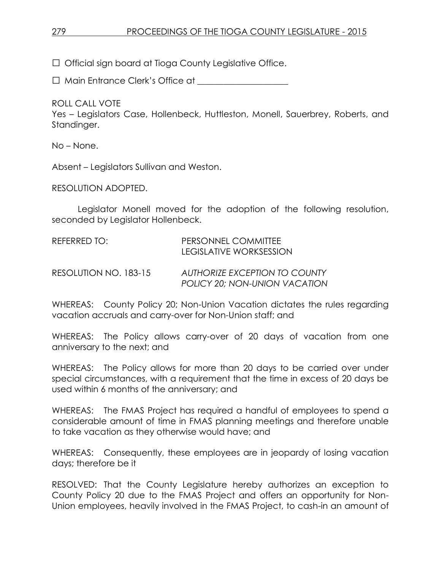□ Official sign board at Tioga County Legislative Office.

□ Main Entrance Clerk's Office at

ROLL CALL VOTE

Yes – Legislators Case, Hollenbeck, Huttleston, Monell, Sauerbrey, Roberts, and Standinger.

No – None.

Absent – Legislators Sullivan and Weston.

RESOLUTION ADOPTED.

Legislator Monell moved for the adoption of the following resolution, seconded by Legislator Hollenbeck.

| REFERRED TO:          | PERSONNEL COMMITTEE<br>LEGISLATIVE WORKSESSION                        |
|-----------------------|-----------------------------------------------------------------------|
| RESOLUTION NO. 183-15 | <b>AUTHORIZE EXCEPTION TO COUNTY</b><br>POLICY 20; NON-UNION VACATION |

WHEREAS: County Policy 20; Non-Union Vacation dictates the rules regarding vacation accruals and carry-over for Non-Union staff; and

WHEREAS: The Policy allows carry-over of 20 days of vacation from one anniversary to the next; and

WHEREAS: The Policy allows for more than 20 days to be carried over under special circumstances, with a requirement that the time in excess of 20 days be used within 6 months of the anniversary; and

WHEREAS: The FMAS Project has required a handful of employees to spend a considerable amount of time in FMAS planning meetings and therefore unable to take vacation as they otherwise would have; and

WHEREAS: Consequently, these employees are in jeopardy of losing vacation days; therefore be it

RESOLVED: That the County Legislature hereby authorizes an exception to County Policy 20 due to the FMAS Project and offers an opportunity for Non-Union employees, heavily involved in the FMAS Project, to cash-in an amount of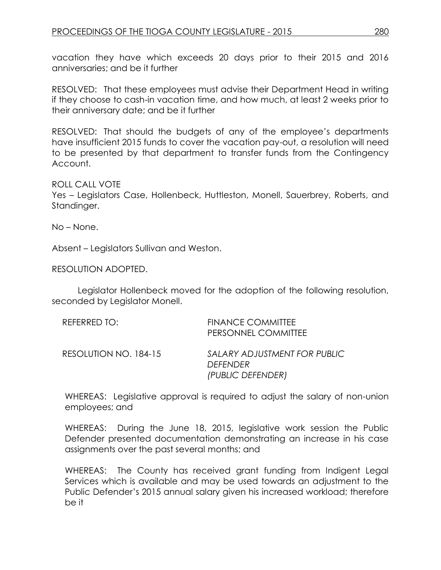vacation they have which exceeds 20 days prior to their 2015 and 2016 anniversaries; and be it further

RESOLVED: That these employees must advise their Department Head in writing if they choose to cash-in vacation time, and how much, at least 2 weeks prior to their anniversary date; and be it further

RESOLVED: That should the budgets of any of the employee's departments have insufficient 2015 funds to cover the vacation pay-out, a resolution will need to be presented by that department to transfer funds from the Contingency Account.

### ROLL CALL VOTE

Yes – Legislators Case, Hollenbeck, Huttleston, Monell, Sauerbrey, Roberts, and Standinger.

No – None.

Absent – Legislators Sullivan and Weston.

RESOLUTION ADOPTED.

Legislator Hollenbeck moved for the adoption of the following resolution, seconded by Legislator Monell.

| REFERRED TO:          | <b>FINANCE COMMITTEE</b><br>PERSONNEL COMMITTEE                      |
|-----------------------|----------------------------------------------------------------------|
| RESOLUTION NO. 184-15 | SALARY ADJUSTMENT FOR PUBLIC<br><b>DEFENDER</b><br>(PUBLIC DEFENDER) |

WHEREAS: Legislative approval is required to adjust the salary of non-union employees; and

WHEREAS: During the June 18, 2015, legislative work session the Public Defender presented documentation demonstrating an increase in his case assignments over the past several months; and

WHEREAS: The County has received grant funding from Indigent Legal Services which is available and may be used towards an adjustment to the Public Defender's 2015 annual salary given his increased workload; therefore be it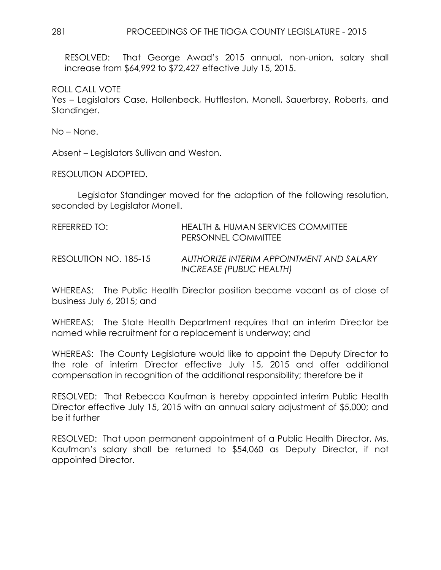RESOLVED: That George Awad's 2015 annual, non-union, salary shall increase from \$64,992 to \$72,427 effective July 15, 2015.

ROLL CALL VOTE

Yes – Legislators Case, Hollenbeck, Huttleston, Monell, Sauerbrey, Roberts, and Standinger.

No – None.

Absent – Legislators Sullivan and Weston.

RESOLUTION ADOPTED.

Legislator Standinger moved for the adoption of the following resolution, seconded by Legislator Monell.

| RFFFRRFD TO:          | <b>HEALTH &amp; HUMAN SERVICES COMMITTEE</b><br><b>PERSONNEL COMMITTEE</b> |
|-----------------------|----------------------------------------------------------------------------|
| RESOLUTION NO. 185-15 | AUTHORIZE INTERIM APPOINTMENT AND SALARY<br>INCREASE (PUBLIC HEALTH)       |

WHEREAS: The Public Health Director position became vacant as of close of business July 6, 2015; and

WHEREAS: The State Health Department requires that an interim Director be named while recruitment for a replacement is underway; and

WHEREAS: The County Legislature would like to appoint the Deputy Director to the role of interim Director effective July 15, 2015 and offer additional compensation in recognition of the additional responsibility; therefore be it

RESOLVED: That Rebecca Kaufman is hereby appointed interim Public Health Director effective July 15, 2015 with an annual salary adjustment of \$5,000; and be it further

RESOLVED: That upon permanent appointment of a Public Health Director, Ms. Kaufman's salary shall be returned to \$54,060 as Deputy Director, if not appointed Director.